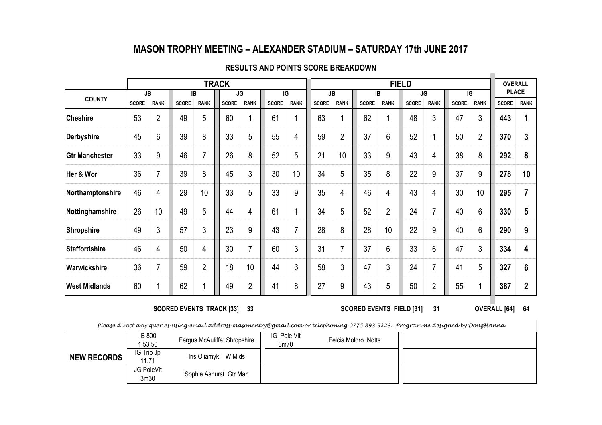### MASON TROPHY MEETING – ALEXANDER STADIUM – SATURDAY 17th JUNE 2017

|                       |              |                |              |                | <b>TRACK</b> |                |              |                |              |                |              |                | <b>FIELD</b> |                |              |                | <b>OVERALL</b> |                |
|-----------------------|--------------|----------------|--------------|----------------|--------------|----------------|--------------|----------------|--------------|----------------|--------------|----------------|--------------|----------------|--------------|----------------|----------------|----------------|
|                       | <b>JB</b>    |                | IB           |                |              | JG             |              | IG             |              | JB             | IB           |                |              | <b>JG</b>      |              | $\overline{G}$ | <b>PLACE</b>   |                |
| <b>COUNTY</b>         | <b>SCORE</b> | <b>RANK</b>    | <b>SCORE</b> | <b>RANK</b>    | <b>SCORE</b> | <b>RANK</b>    | <b>SCORE</b> | <b>RANK</b>    | <b>SCORE</b> | <b>RANK</b>    | <b>SCORE</b> | <b>RANK</b>    | <b>SCORE</b> | <b>RANK</b>    | <b>SCORE</b> | <b>RANK</b>    | <b>SCORE</b>   | <b>RANK</b>    |
| <b>Cheshire</b>       | 53           | $\overline{2}$ | 49           | 5              | 60           |                | 61           | 1              | 63           |                | 62           |                | 48           | 3              | 47           | 3              | 443            |                |
| Derbyshire            | 45           | 6              | 39           | 8              | 33           | 5              | 55           | 4              | 59           | $\overline{2}$ | 37           | 6              | 52           |                | 50           | 2              | 370            | 3              |
| <b>Gtr Manchester</b> | 33           | 9              | 46           | 7              | 26           | 8              | 52           | 5              | 21           | 10             | 33           | 9              | 43           | 4              | 38           | 8              | 292            | 8              |
| Her & Wor             | 36           |                | 39           | 8              | 45           | 3              | 30           | 10             | 34           | 5              | 35           | 8              | 22           | 9              | 37           | 9              | 278            | 10             |
| Northamptonshire      | 46           | 4              | 29           | 10             | 33           | 5              | 33           | 9              | 35           | 4              | 46           | 4              | 43           | 4              | 30           | 10             | 295            | $\overline{7}$ |
| Nottinghamshire       | 26           | 10             | 49           | 5              | 44           | 4              | 61           | 1              | 34           | 5              | 52           | $\overline{2}$ | 24           | $\overline{7}$ | 40           | 6              | 330            | 5              |
| Shropshire            | 49           | 3              | 57           | 3              | 23           | 9              | 43           | $\overline{7}$ | 28           | 8              | 28           | 10             | 22           | 9              | 40           | 6              | 290            | 9              |
| <b>Staffordshire</b>  | 46           | 4              | 50           | 4              | 30           | 7              | 60           | 3              | 31           | 7              | 37           | 6              | 33           | 6              | 47           | 3              | 334            | 4              |
| Warwickshire          | 36           |                | 59           | $\overline{2}$ | 18           | 10             | 44           | 6              | 58           | 3              | 47           | 3              | 24           | 7              | 41           | 5              | 327            | 6              |
| <b>West Midlands</b>  | 60           |                | 62           |                | 49           | $\overline{2}$ | 41           | 8              | 27           | 9              | 43           | 5              | 50           | $\overline{2}$ | 55           |                | 387            | $\overline{2}$ |

#### RESULTS AND POINTS SCORE BREAKDOWN

SCORED EVENTS TRACK [33] 33

<sup>64</sup> 31 SCORED EVENTS FIELD [31] OVERALL [64]

Please direct any queries using email address masonentry@gmail.com or telephoning 0775 893 9223. Programme designed by DougHanna.

|                    | <b>IB 800</b><br>1:53.50       | Fergus McAuliffe Shropshire | IG Pole VIt<br>3m70 | Felcia Moloro Notts |  |
|--------------------|--------------------------------|-----------------------------|---------------------|---------------------|--|
| <b>NEW RECORDS</b> | IG Trip Jp<br>11.71            | Iris Oliamyk W Mids         |                     |                     |  |
|                    | JG PoleVIt<br>3 <sub>m30</sub> | Sophie Ashurst Gtr Man      |                     |                     |  |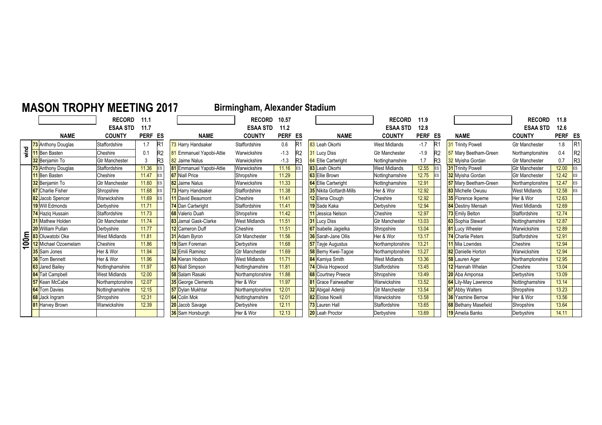# MASON TROPHY MEETING 2017

# Birmingham, Alexander Stadium

|                          |                           | <b>RECORD</b>         | 11.1    |                |                                 | <b>RECORD</b>         | 10.57       |           |                                 | <b>RECORD</b>         | 11.9    |           |                             | <b>RECORD</b>         | 11.8    |                |
|--------------------------|---------------------------|-----------------------|---------|----------------|---------------------------------|-----------------------|-------------|-----------|---------------------------------|-----------------------|---------|-----------|-----------------------------|-----------------------|---------|----------------|
|                          |                           | <b>ESAA STD</b>       | 11.7    |                |                                 | <b>ESAA STD</b>       | 11.2        |           |                                 | <b>ESAA STD</b>       | 12.8    |           |                             | <b>ESAA STD</b>       | 12.6    |                |
|                          | <b>NAME</b>               | <b>COUNTY</b>         | PERF ES |                | <b>NAME</b>                     | <b>COUNTY</b>         | <b>PERF</b> | ES        | <b>NAME</b>                     | <b>COUNTY</b>         | PERF ES |           | <b>NAME</b>                 | <b>COUNTY</b>         | PERF ES |                |
|                          | 73 Anthony Douglas        | Staffordshire         | 1.7     | $\mathbb{R}$   | 73 Harry Handsaker              | Staffordshire         | 0.6         |           | 83 Leah Okorhi                  | <b>West Midlands</b>  | $-1.7$  |           | 31 Trinity Powell           | <b>Gtr Manchester</b> | 1.8     | R <sub>1</sub> |
| wind                     | 11 Ben Basten             | Cheshire              | 0.1     | R <sub>2</sub> | 81 Emmanuel Yapobi-Attie        | Warwickshire          | $-1.3$      | R2        | <b>31 Lucy Diss</b>             | <b>Gtr Manchester</b> | $-1.9$  |           | 57 Mary Beetham-Green       | Northamptonshire      | 0.4     | R <sub>2</sub> |
|                          | <b>32</b> Benjamin To     | <b>Gtr Manchester</b> |         | R <sub>3</sub> | 82 Jaime Nalus                  | Warwickshire          | $-1.3$      | IR3       | 64 Ellie Cartwright             | Nottinghamshire       | 1.7     | R3        | 32 Mvisha Gordan            | <b>Gtr Manchester</b> | 0.7     | R <sub>3</sub> |
|                          | <b>73</b> Anthony Douglas | Staffordshire         | 11.36   | <b>IES</b>     | <b>81</b> Emmanuel Yapobi-Attie | Warwickshire          | 11.16       | <b>ES</b> | 83 Leah Okorhi                  | <b>West Midlands</b>  | 12.55   | <b>ES</b> | <b>31</b> Trinity Powell    | <b>Gtr Manchester</b> | 12.00   | ES             |
|                          | 11 Ben Basten             | Cheshire              | 11.47   | <b>IES</b>     | <b>67</b> Niall Price           | Shropshire            | 11.29       |           | 63 Ellie Brown                  | Nottinghamshire       | 12.75   | <b>ES</b> | 32 Mvisha Gordan            | <b>Gtr Manchester</b> | 12.42   | ES             |
|                          | <b>32</b> Beniamin To     | <b>Gtr Manchester</b> | 11.60   | <b>IES</b>     | 82 Jaime Nalus                  | Warwickshire          | 11.33       |           | <b>64 Ellie Cartwright</b>      | Nottinghamshire       | 12.91   |           | 57 Mary Beetham-Green       | Northamptonshire      | 12.47   | ES             |
|                          | <b>67</b> Charlie Fisher  | Shropshire            | 11.68   | <b>IES</b>     | 73 Harry Handsaker              | Staffordshire         | 11.38       |           | <b>35</b> Nikita Gottardt-Mills | Her & Wor             | 12.92   |           | <b>83</b> Michelle Owusu    | <b>West Midlands</b>  | 12.58   | ES             |
|                          | 82 Jacob Spencer          | Warwickshire          | 11.69   |                | 11 David Beaumont               | Cheshire              | 11.41       |           | 12 Elena Clough                 | Cheshire              | 12.92   |           | <b>35</b> Florence Ikpeme   | Her & Wor             | 12.63   |                |
|                          | <b>19 Will Edmonds</b>    | Derbyshire            | 11.71   |                | 74 Dan Cartwright               | Staffordshire         | 11.41       |           | 19 Sade Kaka                    | Derbyshire            | 12.94   |           | <b>84</b> Destiny Mensah    | <b>West Midlands</b>  | 12.69   |                |
|                          | 74 Haziq Hussain          | Staffordshire         | 11.73   |                | <b>68</b> Valerio Duah          | Shropshire            | 11.42       |           | 11 Jessica Nelson               | Cheshire              | 12.97   |           | 73 Emily Belton             | Staffordshire         | 12.74   |                |
|                          | <b>31</b> Mathew Holden   | <b>Gtr Manchester</b> | 11.74   |                | 83 Jamal Gask-Clarke            | West Midlands         | 11.51       |           | <b>31</b> Lucy Diss             | <b>Gtr Manchester</b> | 13.03   |           | 63 Sophia Stewart           | Nottinghamshire       | 12.87   |                |
|                          | 20 William Pullan         | Derbyshire            | 11.77   |                | 12 Cameron Duff                 | Cheshire              | 11.51       |           | 67 Isabelle Jagielka            | Shropshire            | 13.04   |           | <b>81</b> Lucy Wheeler      | Warwickshire          | 12.89   |                |
| 60m                      | 83 Oluwatobi Oke          | <b>West Midlands</b>  | 11.81   |                | 31 Adam Byron                   | <b>Gtr Manchester</b> | 11.56       |           | <b>36</b> Sarah-Jane Ollis      | Her & Wor             | 13.17   |           | 74 Charlie Peters           | Staffordshire         | 12.91   |                |
| $\overline{\phantom{0}}$ | 12 Michael Ozoemelam      | Cheshire              | 11.86   |                | 19 Sam Foreman                  | Derbyshire            | 11.68       |           | <b>57</b> Tayje Augustus        | Northamptonshire      | 13.21   |           | 11 Mia Lowndes              | Cheshire              | 12.94   |                |
|                          | 35 Sam Jones              | Her & Wor             | 11.94   |                | 32 Emili Ramirez                | <b>Gtr Manchester</b> | 11.69       |           | <b>58</b> Berny Kwei-Tagoe      | Northamptonshire      | 13.27   |           | <b>82</b> Danielle Horton   | Warwickshire          | 12.94   |                |
|                          | 36 Tom Bennett            | Her & Wor             | 11.96   |                | 84 Kieran Hodson                | <b>West Midlands</b>  | 11.71       |           | <b>84</b> Kamiya Smith          | <b>West Midlands</b>  | 13.36   |           | <b>58</b> Lauren Ager       | Northamptonshire      | 12.95   |                |
|                          | 63 Jared Bailev           | Nottinghamshire       | 11.97   |                | <b>63</b> Niall Simpson         | Nottinghamshire       | 11.81       |           | 74 Olivia Hopwood               | <b>Staffordshire</b>  | 13.45   |           | 12 Hannah Whelan            | Cheshire              | 13.04   |                |
|                          | 84 Tait Campbell          | West Midlands         | 12.00   |                | 58 Salam Rasaki                 | Northamptonshire      | 11.88       |           | <b>68</b> Courtney Preece       | Shropshire            | 13.49   |           | <b>20</b> Aba Amponsa       | Derbyshire            | 13.09   |                |
|                          | <b>57</b> Kean McCabe     | Northamptonshire      | 12.07   |                | <b>35</b> George Clements       | Her & Wor             | 11.97       |           | <b>81</b> Grace Fairweather     | Warwickshire          | 13.52   |           | <b>64</b> Lily-May Lawrence | Nottinghamshire       | 13.14   |                |
|                          | <b>64</b> Tom Davies      | Nottinghamshire       | 12.15   |                | 57 Dylan Mukhtar                | Northamptonshire      | 12.01       |           | 32 Abigail Adeniji              | <b>Gtr Manchester</b> | 13.54   |           | <b>67</b> Abby Walters      | Shropshire            | 13.23   |                |
|                          | 68 Jack Ingram            | Shropshire            | 12.31   |                | 64 Colin Mok                    | Nottinghamshire       | 12.01       |           | 82 Eloise Nowill                | Warwickshire          | 13.58   |           | <b>36</b> Yasmine Berrow    | Her & Wor             | 13.56   |                |
|                          | <b>81</b> Harvey Brown    | Warwickshire          | 12.39   |                | 20 Jacob Savage                 | Derbyshire            | 12.11       |           | 73 Lauren Hall                  | Staffordshire         | 13.65   |           | <b>68</b> Bethany Masefield | Shropshire            | 13.64   |                |
|                          |                           |                       |         |                | 36 Sam Horsburgh                | Her & Wor             | 12.13       |           | 20 Leah Proctor                 | Derbyshire            | 13.69   |           | 19 Amelia Banks             | Derbyshire            | 14.11   |                |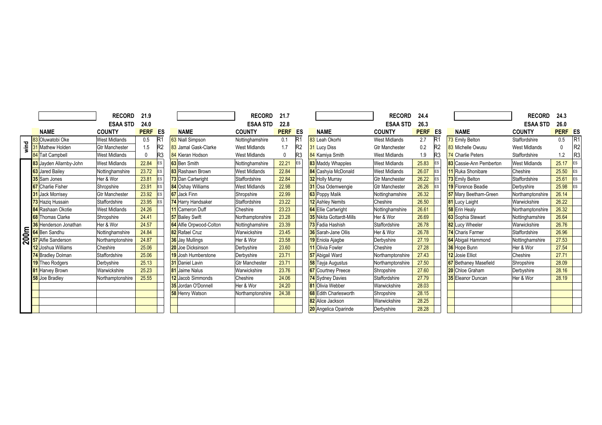|      |                              | <b>RECORD</b>         | 21.9           |                |                          | <b>RECORD</b>         | 21.7         |                |                                 | <b>RECORD</b>         | 24.4        |            |                              | <b>RECORD</b>        | 24.3           |                |
|------|------------------------------|-----------------------|----------------|----------------|--------------------------|-----------------------|--------------|----------------|---------------------------------|-----------------------|-------------|------------|------------------------------|----------------------|----------------|----------------|
|      |                              | <b>ESAA STD</b>       | 24.0           |                |                          | <b>ESAA STD</b>       | 22.8         |                |                                 | <b>ESAA STD</b>       | 26.3        |            |                              | ESAA STD             | 26.0           |                |
|      | <b>NAME</b>                  | <b>COUNTY</b>         | <b>PERF ES</b> |                | <b>NAME</b>              | <b>COUNTY</b>         | <b>PERF</b>  | ES             | <b>NAME</b>                     | <b>COUNTY</b>         | <b>PERF</b> | ES         | <b>NAME</b>                  | <b>COUNTY</b>        | <b>PERF ES</b> |                |
|      | 83 Oluwatobi Oke             | <b>West Midlands</b>  | 0.5            | <b>R</b>       | 63 Niall Simpson         | Nottinghamshire       | 0.1          |                | 83 Leah Okorhi                  | <b>West Midlands</b>  | 2.7         |            | 73 Emily Belton              | Staffordshire        | $0.5\,$        | R <sub>1</sub> |
| wind | 31 Mathew Holden             | <b>Gtr Manchester</b> | 1.5            | R <sub>2</sub> | 83 Jamal Gask-Clarke     | <b>West Midlands</b>  | 1.7          | R <sub>2</sub> | 31 Lucy Diss                    | <b>Gtr Manchester</b> | 0.2         |            | 83 Michelle Owusu            | <b>West Midlands</b> |                | R <sub>2</sub> |
|      | 84 Tait Campbell             | <b>West Midlands</b>  |                | R <sub>3</sub> | 84 Kieran Hodson         | <b>West Midlands</b>  | $\mathbf{0}$ | R3             | 84 Kamiya Smith                 | <b>West Midlands</b>  | 1.9         | R3         | 74 Charlie Peters            | Staffordshire        | 1.2            | R <sub>3</sub> |
|      | 83 Jayden Allarnby-John      | <b>West Midlands</b>  | 22.84          | <b>ES</b>      | 63 Ben Smith             | Nottinghamshire       | 22.21        | ES             | 83 Maddy Whapples               | <b>West Midlands</b>  | 25.83       | <b>IES</b> | 83 Cassie-Ann Pemberton      | <b>West Midlands</b> | 25.17          | ES             |
|      | 63 Jared Bailey              | Nottinghamshire       | 23.72          | ES             | <b>83</b> Rashawn Brown  | <b>West Midlands</b>  | 22.84        |                | 84 Cashyia McDonald             | <b>West Midlands</b>  | 26.07       | <b>IES</b> | 11 Ruka Shonibare            | Cheshire             | 25.50          | ES             |
|      | 35 Sam Jones                 | Her & Wor             | 23.81          | ES             | 73 Dan Cartwright        | Staffordshire         | 22.84        |                | <b>32</b> Holly Murray          | <b>Gtr Manchester</b> | 26.22       | ES         | 73 Emily Belton              | Staffordshire        | 25.61          | ES             |
|      | <b>67</b> Charlie Fisher     | Shropshire            | 23.91          | ES             | <b>84</b> Oshav Williams | <b>West Midlands</b>  | 22.98        |                | 31 Osa Odemwengie               | <b>Gtr Manchester</b> | 26.26       |            | 19 Florence Beadie           | Derbyshire           | 25.98          | ES             |
|      | <b>31</b> Jack Morrisey      | <b>Gtr Manchester</b> | 23.92          | ES             | 67 Jack Finn             | Shropshire            | 22.99        |                | 63 Poppy Malik                  | Nottinghamshire       | 26.32       |            | 57 Mary Beetham-Green        | Northamptonshire     | 26.14          |                |
|      | 73 Haziq Hussain             | Staffordshire         | 23.95          | ES             | 74 Harry Handsaker       | Staffordshire         | 23.22        |                | <b>12</b> Ashley Nemits         | Cheshire              | 26.50       |            | 81 Lucy Laight               | Warwickshire         | 26.22          |                |
|      | 84 Rashaan Okotie            | <b>West Midlands</b>  | 24.26          |                | 11 Cameron Duff          | Cheshire              | 23.23        |                | <b>64 Ellie Cartwright</b>      | Nottinghamshire       | 26.61       |            | 58 Erin Healy                | Northamptonshire     | 26.32          |                |
|      | <b>68</b> Thomas Clarke      | Shropshire            | 24.41          |                | <b>57</b> Bailey Swift   | Northamptonshire      | 23.28        |                | <b>35</b> Nikita Gottardt-Mills | Her & Wor             | 26.69       |            | <b>63</b> Sophia Stewart     | Nottinghamshire      | 26.64          |                |
|      | <b>36</b> Henderson Jonathan | Her & Wor             | 24.57          |                | 64 Alfie Orpwood-Colton  | Nottinghamshire       | 23.39        |                | 73 Fadia Hashish                | Staffordshire         | 26.78       |            | 82 Lucy Wheeler              | Warwickshire         | 26.76          |                |
|      | 64 Ben Sandhu                | Nottinghamshire       | 24.84          |                | 82 Rafael Cruz           | Warwickshire          | 23.45        |                | <b>36</b> Sarah-Jane Ollis      | Her & Wor             | 26.78       |            | 74 Charis Farmer             | Staffordshire        | 26.96          |                |
| 200m | <b>57</b> Alfie Sanderson    | Northamptonshire      | 24.87          |                | 36 Jay Mullings          | Her & Wor             | 23.58        |                | 19 Eniola Ajagbe                | Derbyshire            | 27.19       |            | 64 Abigail Hammond           | Nottinghamshire      | 27.53          |                |
|      | 12 Joshua Williams           | Cheshire              | 25.06          |                | 20 Joe Dicksinson        | Derbyshire            | 23.60        |                | 11 Olivia Fowler                | Cheshire              | 27.28       |            | 36 Hope Bunn                 | Her & Wor            | 27.54          |                |
|      | 74 Bradley Dolman            | Staffordshire         | 25.06          |                | 19 Josh Humberstone      | Derbyshire            | 23.71        |                | 57 Abigail Ward                 | Northamptonshire      | 27.43       |            | 12 Josie Elliot              | Cheshire             | 27.71          |                |
|      | 19 Theo Rodgers              | Derbyshire            | 25.13          |                | <b>31</b> Daniel Lavin   | <b>Gtr Manchester</b> | 23.71        |                | 58 Tayja Augustus               | Northamptonshire      | 27.50       |            | <b>67</b> Bethaney Masefield | Shropshire           | 28.09          |                |
|      | 81 Harvey Brown              | Warwickshire          | 25.23          |                | <b>81</b> Jaime Nalus    | Warwickshire          | 23.76        |                | <b>67</b> Courtney Preece       | Shropshire            | 27.60       |            | 20 Chloe Graham              | Derbyshire           | 28.16          |                |
|      | <b>58</b> Joe Bradley        | Northamptonshire      | 25.55          |                | 12 Jacob Simmonds        | Cheshire              | 24.06        |                | 74 Sydney Davies                | Staffordshire         | 27.79       |            | <b>35</b> Eleanor Duncan     | Her & Wor            | 28.19          |                |
|      |                              |                       |                |                | 35 Jordan O'Donnell      | Her & Wor             | 24.20        |                | 81 Olivia Webber                | Warwickshire          | 28.03       |            |                              |                      |                |                |
|      |                              |                       |                |                | <b>58</b> Henry Watson   | Northamptonshire      | 24.38        |                | <b>68</b> Edith Charlesworth    | Shropshire            | 28.15       |            |                              |                      |                |                |
|      |                              |                       |                |                |                          |                       |              |                | 82 Alice Jackson                | Warwickshire          | 28.25       |            |                              |                      |                |                |
|      |                              |                       |                |                |                          |                       |              |                | 20 Angelica Oparinde            | Derbyshire            | 28.28       |            |                              |                      |                |                |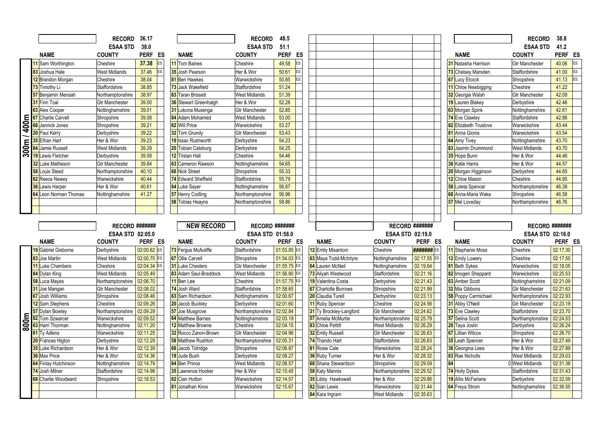|                   |                                     | RECORD 36.17            |                      |                                   | <b>RECORD</b>                  | 48.5                     |                                                  |                                      |                      |                                        | <b>RECORD</b>                             | 38.8                 |
|-------------------|-------------------------------------|-------------------------|----------------------|-----------------------------------|--------------------------------|--------------------------|--------------------------------------------------|--------------------------------------|----------------------|----------------------------------------|-------------------------------------------|----------------------|
|                   |                                     | <b>ESAA STD</b>         | 38.0                 |                                   | <b>ESAA STD</b>                | 51.1                     |                                                  |                                      |                      |                                        | <b>ESAA STD</b>                           | 41.2                 |
|                   | <b>NAME</b>                         | <b>COUNTY</b>           | PERF ES              | <b>NAME</b>                       | <b>COUNTY</b>                  | <b>PERF</b><br>ES        |                                                  |                                      |                      | <b>NAME</b>                            | <b>COUNTY</b>                             | PERF ES              |
|                   | 11 Sam Worthington                  | Cheshire                | 37.38<br>ES          | 11 Tom Baines                     | Cheshire                       | ES<br>49.58              |                                                  |                                      |                      | 31 Natasha Harrison                    | <b>Gtr Manchester</b>                     | 40.06<br><b>ES</b>   |
|                   | 83 Joshua Hale                      | <b>West Midlands</b>    | 37.46<br>ES          | 35 Josh Pearson                   | Her & Wor                      | ES<br>50.61              |                                                  |                                      |                      | 73 Chelsey Marsden                     | Staffordshire                             | 41.00<br>ES          |
|                   | 12 Brandon Morgan                   | Cheshire                | 38.04                | <b>81</b> Ben Hawkes              | Warwickshire                   | Es<br>50.85              |                                                  |                                      |                      | 67 Lucy Elcock                         | Shropshire                                | ES<br>41.13          |
|                   | 73 Timothy Li                       | Staffordshire           | 38.85                | 73 Jack Wakefield                 | Staffordshire                  | 51.24                    |                                                  |                                      |                      | 11 Chloe Newbigging                    | Cheshire                                  | 41.22                |
|                   | 57 Benjamin Mensah                  | Northamptonshire        | 38.97                | 83 Taran Brissett                 | <b>West Midlands</b>           | 51.39                    |                                                  |                                      |                      | 32 Georgia Walsh                       | <b>Gtr Manchester</b>                     | 42.09                |
|                   | <b>31</b> Finn Toal                 | <b>Gtr Manchester</b>   | 39.00                | 36 Stewart Greenhalgh             | Her & Wor                      | 52.28                    |                                                  |                                      |                      | 19 Lauren Blakey                       | Derbyshire                                | 42.46                |
|                   | 63 Alex Cooper                      | Nottinghamshire         | 39.01                | 31 Lokona Musenga                 | <b>Gtr Manchester</b>          | 52.85                    |                                                  |                                      |                      | 63 Morgan Spink                        | Nottinghamshire                           | 42.61                |
| $\frac{1}{400}$ m | <b>67</b> Charlie Carvell           | Shropshire              | 39.08                | 84 Adam Mohamed                   | <b>West Midlands</b>           | 53.00                    |                                                  |                                      |                      | 74 Eve Clawley                         | Staffordshire                             | 42.86                |
|                   | <b>68</b> Jannick Jones             | Shropshire              | 39.21                | 82 Will Price                     | Warwickshire                   | 53.27                    |                                                  |                                      |                      | 82 Elizabeth Truslove                  | Warwickshire                              | 43.44                |
|                   | 20 Paul Kerry                       | Derbyshire              | 39.22                | 32 Tom Grundy                     | Gtr Manchester                 | 53.43                    |                                                  |                                      |                      | 81 Anna Gionis                         | Warwickshire                              | 43.54                |
|                   | 35 Ethan Hart                       | Her & Wor               | 39.23                | 19 Issac Rushworth                | Derbyshire                     | 54.23                    |                                                  |                                      |                      | <b>64</b> Amy Tivey                    | Nottinghamshire                           | 43.70                |
| 300m              | 84 Jamie Russell                    | <b>West Midlands</b>    | 39.29                | 20 Tobian Catsburg                | Derbyshire                     | 54.25                    |                                                  |                                      |                      | 83 Jasmin Drummond                     | <b>West Midlands</b>                      | 43.70                |
|                   | 19 Lewis Fletcher                   | Derbyshire              | 39.58                | 12 Tristan Hall                   | Cheshire                       | 54.46                    |                                                  |                                      |                      | 35 Hope Bunn                           | Her & Wor                                 | 44.46                |
|                   | 32 Luke Matheson                    | <b>Gtr Manchester</b>   | 39.84                | 63 Cameron Rawson                 | Nottinghamshire                | 54.65                    |                                                  |                                      |                      | <b>36</b> Katie Harris                 | Her & Wor                                 | 44.57                |
|                   | <b>58</b> Louis Steed               | Northamptonshire        | 40.10                | <b>68</b> Nick Street             | Shropshire                     | 55.33                    |                                                  |                                      |                      | 20 Morgan Higginson                    | Derbyshire                                | 44.65                |
|                   | 82 Reece Newey                      | Warwickshire            | 40.44                | 74 Edward Sheffield               | Staffordshire                  | 55.79                    |                                                  |                                      |                      | 12 Chloe Mason                         | Cheshire                                  | 44.95                |
|                   | <b>36</b> Lewis Harper              | Her & Wor               | 40.61                | <b>64</b> Luke Saver              | Nottinghamshire                | 56.87                    |                                                  |                                      |                      | 58 Loleta Spencer                      | Northamptonshire                          | 46.38                |
|                   | 64 Leon Norman Thomas               | Nottinghamshire         | 41.27                | 57 Henry Codling                  | Northamptonshire               | 56.96                    |                                                  |                                      |                      | 68 Anna-Maria Wake                     | Shropshire                                | 46.58                |
|                   |                                     |                         |                      | 58 Tobias Heayns                  | Northamptonshire               | 58.86                    |                                                  |                                      |                      | 57 Mel Loveday                         | Northamptonshire                          | 46.76                |
|                   |                                     |                         |                      |                                   |                                |                          |                                                  |                                      |                      |                                        |                                           |                      |
|                   |                                     |                         |                      |                                   |                                |                          |                                                  |                                      |                      |                                        |                                           |                      |
|                   |                                     |                         |                      |                                   |                                |                          |                                                  |                                      |                      |                                        |                                           |                      |
|                   |                                     | <b>RECORD #######</b>   |                      | <b>NEW RECORD</b>                 | RECORD #######                 |                          |                                                  | <b>RECORD #######</b>                |                      |                                        | RECORD #######                            |                      |
|                   |                                     | <b>ESAA STD 02:05.0</b> |                      |                                   | <b>ESAA STD 01:58.0</b>        |                          |                                                  | <b>ESAA STD 02:19.0</b>              |                      |                                        | <b>ESAA STD 02:16.0</b>                   |                      |
|                   | <b>NAME</b>                         | <b>COUNTY</b>           | PERF ES              | <b>NAME</b>                       | <b>COUNTY</b>                  | PERF ES                  | <b>NAME</b>                                      | <b>COUNTY</b>                        | PERF ES              | <b>NAME</b>                            | <b>COUNTY</b>                             | PERF ES              |
|                   | 19 Gabriel Gisborne                 | Derbyshire              | 02:00.62 ES          | 73 Ferqus McAuliffe               | Staffordshire                  | $01:53.85$ ES            | 12 Emily Misantoni                               | Cheshire                             | <b>#######</b> ES    | 11 Stephanie Moss                      | Cheshire                                  | 02:17.30             |
|                   | 83 Joe Martin                       | <b>West Midlands</b>    | 02:00.70 ES          | <b>67</b> Ollie Carvell           | Shropshire                     | 01:54.03 ES              | 63 Maya Todd-McIntyre                            | Nottinghamshire                      | 02:17.55 ES          | 12 Emily Lowery                        | Cheshire                                  | 02:17.50             |
|                   | 11 Luke Chambers                    | Cheshire                | 02:04.34 ES          | 31 Luke Chesters                  | <b>Gtr Manchester</b>          | 01:55.75 ES              | 64 Lauren McNeil                                 | Nottinghamshire                      | 02:19.64             | <b>81</b> Beth Sykes                   | Warwickshire                              | 02:18.05             |
|                   | 84 Dylan King                       | <b>West Midlands</b>    | 02:05.49             | 83 Adam Saul-Braddock             | <b>West Midlands</b>           | 01:56.80 ES<br><b>ES</b> | 73 Aliyah Westwood                               | Staffordshire                        | 02:21.16             | 82 Imogen Sheppard                     | Warwickshire                              | 02:20.53             |
|                   | <b>58</b> Luca Mayes                | Northamptonshire        | 02:06.70             | 11 Ben Lee                        | Cheshire                       | 01:57.75                 | 19 Valentina Costa                               | Derbyshire                           | 02:21.43             | 63 Amber Scott                         | Nottinghamshire                           | 02:21.09             |
|                   | 31 Joe Mangan                       | <b>Gtr Manchester</b>   | 02:08.02             | 74 Josh Ward<br>63 Sam Richardson | Staffordshire                  | 01:58.65                 | <b>67</b> Charlotte Burrows<br>20 Claudia Turell | Shropshire                           | 02:21.99             | 32 Mia Gibbons                         | <b>Gtr Manchester</b>                     | 02:21.63             |
|                   | 67 Josh Williams<br>12 Sam Stephens | Shropshire<br>Cheshire  | 02:08.46<br>02:09.26 | 20 Jacob Buckley                  | Nottinghamshire                | 02:00.67<br>02:01.60     | 11 Ruby Spencer                                  | Derbyshire<br>Cheshire               | 02:23.13<br>02:24.56 | 58 Poppy Carmichael<br>31 Abby O'Neill | Northamptonshire<br><b>Gtr Manchester</b> | 02:22.93<br>02:23.19 |
|                   | <b>57</b> Dylan Bowley              | Northamptonshire        | 02:09.29             | 57 Joe Musgrove                   | Derbyshire<br>Northamptonshire | 02:02.84                 | 31 Ty Brockley-Langford                          | <b>Gtr Manchester</b>                | 02:24.62             |                                        | Staffordshire                             | 02:23.70             |
|                   | 82 Tom Szwarcer                     | Warwickshire            | 02:09.52             | <b>64</b> Matthew Barnes          | Nottinghamshire                | 02:03.19                 | 57 Amelia McMurtie                               | Northamptonshire                     | 02:25.79             | 73 Eve Clawley<br>57 Selina Scott      | Northamptonshire                          | 02:24.53             |
|                   | 63 Harri Thorman                    | Nottinghamshire         | 02:11.20             | 12 Matthew Browne                 | Cheshire                       | 02:04.15                 | 83 Chloe Pettitt                                 | <b>West Midlands</b>                 | 02:26.29             | 20 Taya Joslin                         | Derbyshire                                | 02:26.24             |
| 800m              | 81 Ty Adkins                        | Warwickshire            | 02:11.25             | 32 Rocco Zanon-Brown              | <b>Gtr Manchester</b>          | 02:04.96                 | 32 Emily Russell                                 | <b>Gtr Manchester</b>                | 02:26.63             | <b>67</b> Lillian Wilcox               | Shropshire                                | 02:26.70             |
|                   | 20 Frances Higton                   | Derbyshire              | 02:12.29             | <b>58</b> Matthew Rushton         | Northamptonshire               | 02:05.31                 | 74 Thando Hart                                   | Staffordshire                        | 02:26.63             | 35 Leah Spencer                        | Her & Wor                                 | 02:27.49             |
|                   | <b>35</b> Luke Richardson           | Her & Wor               | 02:12.39             | 68 Jacob Tidridge                 | Shropshire                     | 02:06.87                 | 81 Rosie Cale                                    | Warwickshire                         | 02:28.24             | <b>36</b> Georgina Lees                | Her & Wor                                 | 02:27.89             |
|                   | 36 Max Price                        | Her & Wor               | 02:14.36             | 19 Jude Bush                      | Derbyshire                     | 02:08.27                 | <b>36</b> Ruby Turner                            | Her & Wor                            | 02:28.32             | 83 Rae Nicholls                        | <b>West Midlands</b>                      | 02:29.03             |
|                   | 64 Finlay Hutchinson                | Nottinghamshire         | 02:14.79             | 84 Ben Prince                     | <b>West Midlands</b>           | 02:08.57                 | 68 Shana Stewardson                              | Shropshire                           | 02:29.09             | 84                                     | 0 West Midlands                           | 02:31.38             |
|                   | 74 Josh Milner                      | Staffordshire           | 02:14.98             | 35 Lawrence Hooker                | Her & Wor                      | 02:10.45                 | 58 Katy Mannix                                   | Northamptonshire                     | 02:29.52             | 74 Holly Dykes                         | Staffordshire                             | 02:31.43             |
|                   | 68 Charlie Woodward                 | Shropshire              | 02:18.53             | 82 Cian Hutton                    | Warwickshire                   | 02:14.57                 | 35 Libby Hawkswell                               | Her & Wor                            | 02:29.86             | 19 Allis McFarlane                     | Derbyshire                                | 02:32.09             |
|                   |                                     |                         |                      | 81 Jonathan Knox                  | Warwickshire                   | 02:15.67                 | 82 Sian Lewis<br>84 Kara Ingram                  | Warwickshire<br><b>West Midlands</b> | 02:31.44<br>02:35.63 | 64 Freya Strom                         | Nottinghamshire                           | 02:36.55             |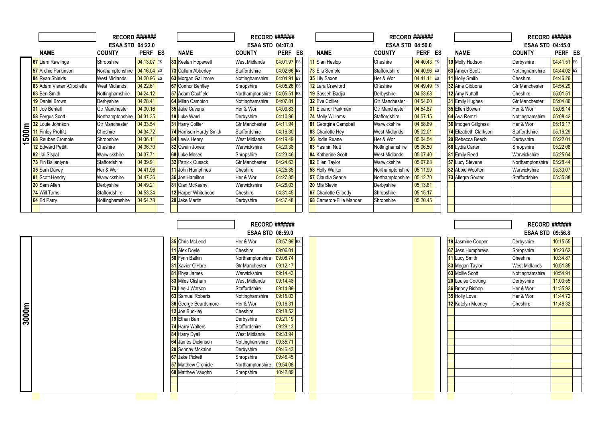|                          |                                                                   | <b>RECORD #######</b>   |             |                          | <b>RECORD #######</b>   |             |    |                             | <b>RECORD #######</b>   |             |                        | <b>RECORD #######</b>   |             |  |
|--------------------------|-------------------------------------------------------------------|-------------------------|-------------|--------------------------|-------------------------|-------------|----|-----------------------------|-------------------------|-------------|------------------------|-------------------------|-------------|--|
|                          |                                                                   | <b>ESAA STD 04:22.0</b> |             |                          | <b>ESAA STD 04:07.0</b> |             |    |                             | <b>ESAA STD 04:50.0</b> |             |                        | <b>ESAA STD 04:45.0</b> |             |  |
|                          | <b>NAME</b>                                                       | <b>COUNTY</b>           | PERF<br>ES  | <b>NAME</b>              | <b>COUNTY</b>           | <b>PERF</b> | ES | <b>NAME</b>                 | <b>COUNTY</b>           | PERF ES     | <b>NAME</b>            | <b>COUNTY</b>           | PERF ES     |  |
|                          | 67 Liam Rawlings                                                  | Shropshire              | 04:13.07 ES | 83 Keelan Hopewell       | <b>West Midlands</b>    | 04:01.97 ES |    | 11 Sian Heslop              | Cheshire                | 04:40.43 ES | 19 Molly Hudson        | Derbyshire              | 04:41.51 ES |  |
|                          | <b>57</b> Archie Parkinson                                        | Northamptonshire        | 04:16.04 ES | 73 Callum Abberley       | Staffordshire           | 04:02.66 ES |    | 73 Ella Semple              | Staffordshire           | 04:40.96 ES | 63 Amber Scott         | Nottinghamshire         | 04:44.02 ES |  |
|                          | 84 Ryan Shields                                                   | <b>West Midlands</b>    | 04:20.96 ES | 63 Morgan Gallimore      | Nottinghamshire         | 04:04.91 ES |    | 35 Lily Saxon               | Her & Wor               | 04:41.11 ES | <b>11</b> Holly Smith  | Cheshire                | 04:46.26    |  |
|                          | 83 Adam Visram-Cipolletta                                         | <b>West Midlands</b>    | 04:22.61    | <b>67</b> Connor Bentley | Shropshire              | 04:05.26 ES |    | 12 Lara Crawford            | Cheshire                | 04:49.49 ES | 32 Aine Gibbons        | <b>Gtr Manchester</b>   | 04:54.29    |  |
|                          | 63 Ben Smith                                                      | Nottinghamshire         | 04:24.12    | 57 Adam Caulfield        | Northamptonshire        | 04:05.51 ES |    | 19 Sasseh Badjia            | Derbyshire              | 04:53.68    | <b>12</b> Amy Nuttall  | Cheshire                | 05:01.51    |  |
|                          | <b>19</b> Daniel Brown                                            | Derbyshire              | 04:28.41    | <b>64</b> Milan Campion  | Nottinghamshire         | 04:07.81    |    | <b>32</b> Eve Collier       | <b>Gtr Manchester</b>   | 04:54.00    | <b>31</b> Emily Hughes | <b>Gtr Manchester</b>   | 05:04.86    |  |
|                          | <b>31</b> Joe Bentall                                             | <b>Gtr Manchester</b>   | 04:30.16    | <b>35</b> Jake Cavens    | Her & Wor               | 04:09.83    |    | 31 Eleanor Parkman          | <b>Gtr Manchester</b>   | 04:54.87    | 35 Ellen Bowen         | Her & Wor               | 05:08.14    |  |
|                          | <b>58</b> Fergus Scott                                            | Northamptonshire        | 04:31.35    | 19 Luke Ward             | Derbyshire              | 04:10.96    |    | 74 Molly Williams           | Staffordshire           | 04:57.15    | 64 Ava Remzi           | Nottinghamshire         | 05:08.42    |  |
|                          |                                                                   | <b>Gtr Manchester</b>   | 04:33.54    | <b>31 Harry Collier</b>  | <b>Gtr Manchester</b>   | 04:11.94    |    | 81 Georgina Campbell        | Warwickshire            | 04:58.69    | 36 Imogen Gillgrass    | Her & Wor               | 05:16.17    |  |
|                          | E 32 Louie Johnson<br>S 11 Finley Proffitt<br>G 68 Reuben Crombie | Cheshire                | 04:34.72    | 74 Harrison Hardy-Smith  | Staffordshire           | 04:16.30    |    | 83 Charlotte Hey            | <b>West Midlands</b>    | 05:02.01    | 74 Elizabeth Clarkson  | Staffordshire           | 05:16.29    |  |
|                          |                                                                   | Shropshire              | 04:36.11    | <b>84</b> Lewis Henry    | <b>West Midlands</b>    | 04:19.49    |    | <b>36</b> Jodie Ruane       | Her & Wor               | 05:04.54    | 20 Rebecca Beech       | Derbyshire              | 05:22.01    |  |
| $\overline{\phantom{0}}$ | <b>12</b> Edward Pettitt                                          | Cheshire                | 04:36.70    | 82 Owain Jones           | Warwickshire            | 04:20.38    |    | 63 Yasmin Nutt              | Nottinghamshire         | 05:06.50    | <b>68</b> Lydia Carter | Shropshire              | 05:22.08    |  |
|                          | 82 Jai Sispal                                                     | Warwickshire            | 04:37.71    | <b>68</b> Luke Moses     | Shropshire              | 04:23.46    |    | <b>84</b> Katherine Scott   | <b>West Midlands</b>    | 05:07.40    | 81 Emily Reed          | Warwickshire            | 05:25.64    |  |
|                          | 73 Fin Ballantyne                                                 | Staffordshire           | 04:39.91    | 32 Patrick Cusack        | <b>Gtr Manchester</b>   | 04:24.63    |    | 82 Ellen Taylor             | Warwickshire            | 05:07.63    | <b>57</b> Lucy Stevens | Northamptonshire        | 05:28.44    |  |
|                          | <b>35</b> Sam Davey                                               | Her & Wor               | 04:41.96    | 11 John Humphries        | Cheshire                | 04:25.35    |    | <b>58</b> Holly Walker      | Northamptonshire        | 05:11.99    | 82 Abbie Wootton       | Warwickshire            | 05:33.07    |  |
|                          | 81 Scott Hendry                                                   | Warwickshire            | 04:47.36    | <b>36</b> Joe Hamilton   | Her & Wor               | 04:27.85    |    | <b>57</b> Claudia Searle    | Northamptonshire        | 05:12.70    | 73 Allegra Souter      | Staffordshire           | 05:35.88    |  |
|                          | 20 Sam Allen                                                      | Derbyshire              | 04:49.21    | 81 Cian McKeany          | Warwickshire            | 04:28.03    |    | 20 Mia Slevin               | Derbyshire              | 05:13.81    |                        |                         |             |  |
|                          | 74 Will Tams                                                      | Staffordshire           | 04:53.34    | 12 Harper Whitehead      | Cheshire                | 04:31.45    |    | <b>67</b> Charlotte Gilbody | Shropshire              | 05:15.17    |                        |                         |             |  |
|                          | 64 Ed Parry                                                       | Nottinghamshire         | 04:54.78    | 20 Jake Martin           | Derbyshire              | 04:37.48    |    | 68 Cameron-Ellie Mander     | Shropshire              | 05:20.45    |                        |                         |             |  |
|                          |                                                                   |                         |             |                          |                         |             |    |                             |                         |             |                        |                         |             |  |

RECORD #######

|       |                             | <b>ESAA STD 08:59.0</b> |             |                          | ESAA STD 09:56.8     |          |
|-------|-----------------------------|-------------------------|-------------|--------------------------|----------------------|----------|
|       | <b>35</b> Chris McLeod      | Her & Wor               | 08:57.99 ES | 19 Jasmine Cooper        | Derbyshire           | 10:15.55 |
|       | 11 Alex Doyle               | Cheshire                | 09:06.01    | <b>67</b> Jess Humphreys | Shropshire           | 10:23.62 |
|       | <b>58</b> Fynn Batkin       | Northamptonshire        | 09:08.74    | 11 Lucy Smith            | Cheshire             | 10:34.87 |
|       | <b>31</b> Xavier O'Hare     | <b>Gtr Manchester</b>   | 09:12.17    | 83 Megan Taylor          | <b>West Midlands</b> | 10:51.85 |
|       | 81 Rhys James               | Warwickshire            | 09:14.43    | <b>63</b> Mollie Scott   | Nottinghamshire      | 10:54.91 |
|       | 83 Miles Clisham            | West Midlands           | 09:14.48    | <b>20</b> Louise Cocking | Derbyshire           | 11:03.55 |
|       | 73 Lee-J Watson             | Staffordshire           | 09:14.89    | <b>36</b> Briony Bishop  | Her & Wor            | 11:35.92 |
|       | 63 Samuel Roberts           | Nottinghamshire         | 09:15.03    | 35 Holly Love            | Her & Wor            | 11:44.72 |
|       | <b>36</b> George Beardsmore | Her & Wor               | 09:16.31    | 12 Katelyn Mooney        | Cheshire             | 11:46.32 |
| 3000m | 12 Joe Buckley              | Cheshire                | 09:18.52    |                          |                      |          |
|       | 19 Ethan Barr               | Derbyshire              | 09:21.19    |                          |                      |          |
|       | <b>74</b> Harry Walters     | Staffordshire           | 09:28.13    |                          |                      |          |
|       | 84 Harry Dyall              | West Midlands           | 09:33.94    |                          |                      |          |
|       | 64 James Dickinson          | Nottinghamshire         | 09:35.71    |                          |                      |          |
|       | <b>20</b> Sennay Mckaine    | Derbyshire              | 09:46.43    |                          |                      |          |
|       | <b>67</b> Jake Pickett      | Shropshire              | 09:46.45    |                          |                      |          |
|       | <b>57</b> Matthew Cronicle  | Northamptonshire        | 09:54.08    |                          |                      |          |
|       | <b>68</b> Matthew Vaughn    | Shropshire              | 10:42.89    |                          |                      |          |
|       |                             |                         |             |                          |                      |          |
|       |                             |                         |             |                          |                      |          |

RECORD ####### ESAA STD 09:56.8

| 19 Jasmine Cooper       | Derbyshire           | 10:15.55 |  |
|-------------------------|----------------------|----------|--|
| 67 Jess Humphreys       | Shropshire           | 10:23.62 |  |
| 11 Lucy Smith           | Cheshire             | 10:34.87 |  |
| 83 Megan Taylor         | <b>West Midlands</b> | 10:51.85 |  |
| 63 Mollie Scott         | Nottinghamshire      | 10:54.91 |  |
| 20 Louise Cocking       | Derbyshire           | 11:03.55 |  |
| <b>36</b> Briony Bishop | Her & Wor            | 11:35.92 |  |
| 35 Holly Love           | Her & Wor            | 11:44.72 |  |
| 12 Katelyn Mooney       | Cheshire             | 11:46.32 |  |
|                         |                      |          |  |
|                         |                      |          |  |
|                         |                      |          |  |
|                         |                      |          |  |
|                         |                      |          |  |
|                         |                      |          |  |
|                         |                      |          |  |
|                         |                      |          |  |
|                         |                      |          |  |
|                         |                      |          |  |
|                         |                      |          |  |
|                         |                      |          |  |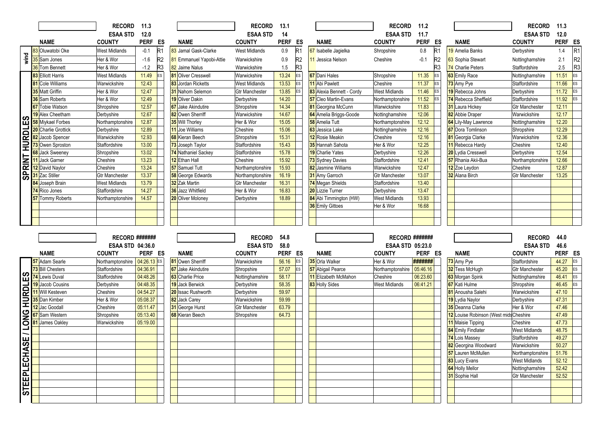|                       |                          | <b>RECORD</b>           | 11.3        |                |                            | <b>RECORD</b>         | 13.1        |                |                           | <b>RECORD</b>           | 11.2        |                |                                        | <b>RECORD</b>                            | 11.3           |                |
|-----------------------|--------------------------|-------------------------|-------------|----------------|----------------------------|-----------------------|-------------|----------------|---------------------------|-------------------------|-------------|----------------|----------------------------------------|------------------------------------------|----------------|----------------|
|                       |                          | <b>ESAA STD</b>         | 12.0        |                |                            | <b>ESAA STD</b>       | 14          |                |                           | <b>ESAA STD</b>         | 11.7        |                |                                        | <b>ESAA STD</b>                          | 12.0           |                |
|                       | <b>NAME</b>              | <b>COUNTY</b>           | PERF ES     |                | <b>NAME</b>                | <b>COUNTY</b>         | <b>PERF</b> | ES             | <b>NAME</b>               | <b>COUNTY</b>           | <b>PERF</b> | ES             | <b>NAME</b>                            | <b>COUNTY</b>                            | PERF ES        |                |
|                       | 83 Oluwatobi Oke         | West Midlands           | $-0.1$      | R <sub>1</sub> | 83 Jamal Gask-Clarke       | <b>West Midlands</b>  | 0.9         | R1             | 67 Isabelle Jaqielka      | Shropshire              | 0.8         | R1             | 19 Amelia Banks                        | Derbyshire                               | 1.4            | R <sub>1</sub> |
| wind                  | 35 Sam Jones             | Her & Wor               | $-1.6$      | R <sub>2</sub> | 81 Emmanuel Yapobi-Attie   | Warwickshire          | 0.9         | R2             | 11 Jessica Nelson         | Cheshire                | $-0.1$      | R <sub>2</sub> | 63 Sophia Stewart                      | Nottinghamshire                          | 2.1            | R <sub>2</sub> |
|                       | 36 Tom Bennett           | Her & Wor               | $-1.2$      | R <sub>3</sub> | 82 Jaime Nalus             | Warwickshire          | 1.5         | R <sub>3</sub> |                           |                         |             | R3             | 74 Charlie Peters                      | Staffordshire                            | 2.5            | R <sub>3</sub> |
|                       | 83 Elliott Harris        | <b>West Midlands</b>    | 11.49       | ES             | <b>81</b> Oliver Cresswell | Warwickshire          | 13.24       | ES             | <b>67</b> Dani Hales      | Shropshire              | 11.35       | <b>ES</b>      | 63 Emily Race                          | Nottinghamshire                          | 11.51          | <b>ES</b>      |
|                       | 81 Cole Williams         | Warwickshire            | 12.43       |                | 83 Jordan Ricketts         | <b>West Midlands</b>  | 13.53       | ES             | 11 Abi Pawlett            | Cheshire                | 11.37       | ES             | 73 Amy Pye                             | Staffordshire                            | 11.66          | <b>ES</b>      |
|                       | <b>35</b> Matt Griffin   | Her & Wor               | 12.47       |                | 31 Nahom Selemon           | <b>Gtr Manchester</b> | 13.85       | ES             | 83 Alexia Bennett - Cordy | <b>West Midlands</b>    | 11.46       | ES             | 19 Rebecca Johns                       | Derbyshire                               | 11.72          | ES             |
|                       | <b>36</b> Sam Roberts    | Her & Wor               | 12.49       |                | 19 Oliver Dakin            | Derbyshire            | 14.20       |                | 57 Cleo Martin-Evans      | Northamptonshire        | 11.52       | <b>ES</b>      | 74 Rebecca Sheffield                   | Staffordshire                            | 11.92          | <b>ES</b>      |
|                       | <b>67</b> Tobie Watson   | Shropshire              | 12.57       |                | <b>67</b> Jake Akindutire  | Shropshire            | 14.34       |                | 81 Georgina McCunn        | Warwickshire            | 11.83       |                | 31 Laura Hickey                        | <b>Gtr Manchester</b>                    | 12.11          |                |
| $\boldsymbol{\sigma}$ | 19 Alex Cheetham         | Derbyshire              | 12.67       |                | 82 Owen Sherriff           | Warwickshire          | 14.67       |                | 64 Amelia Briggs-Goode    | Nottinghamshire         | 12.06       |                | 82 Abbie Draper                        | Warwickshire                             | 12.17          |                |
| m                     | <b>58</b> Miykael Forbes | Northamptonshire        | 12.87       |                | 35 Will Thorley            | Her & Wor             | 15.05       |                | 58 Amelia Tutt            | Northamptonshire        | 12.12       |                | 64 Lily-May Lawrence                   | Nottinghamshire                          | 12.20          |                |
|                       | 20 Charlie Grottick      | Derbyshire              | 12.89       |                | 11 Joe Williams            | Cheshire              | 15.06       |                | 63 Jessica Lake           | Nottinghamshire         | 12.16       |                | <b>67</b> Dora Tomlinson               | Shropshire                               | 12.29          |                |
|                       | 82 Jacob Spencer         | Warwickshire            | 12.93       |                | 68 Kieran Beech            | Shropshire            | 15.31       |                | 12 Rosie Meakin           | Cheshire                | 12.16       |                | 81 Georgia Clarke                      | Warwickshire                             | 12.36          |                |
| <u>HURDLE</u>         | 73 Owen Sproston         | Staffordshire           | 13.00       |                | 73 Joseph Taylor           | Staffordshire         | 15.43       |                | 35 Hannah Sahota          | Her & Wor               | 12.25       |                | 11 Rebecca Hardy                       | Cheshire                                 | 12.40          |                |
|                       | 68 Jack Sweeney          | Shropshire              | 13.02       |                | 74 Nathaniel Sackey        | Staffordshire         | 15.78       |                | 19 Charlie Yates          | Derbyshire              | 12.26       |                | 20 Lydia Cresswell                     | Derbyshire                               | 12.54          |                |
| <b>SPRINT</b>         | 11 Jack Garner           | Cheshire                | 13.23       |                | 12 Ethan Hall              | Cheshire              | 15.92       |                | 73 Sydney Davies          | Staffordshire           | 12.41       |                | 57 Rhania Akii-Bua                     | Northamptonshire                         | 12.66          |                |
|                       | 12 David Naylor          | Cheshire                | 13.24       |                | 57 Samuel Tutt             | Northamptonshire      | 15.93       |                | 82 Jasmine Williams       | Warwickshire            | 12.47       |                | 12 Zoe Leydon                          | Cheshire                                 | 12.87          |                |
|                       | 31 Zac Stiller           | <b>Gtr Manchester</b>   | 13.37       |                | 58 George Edwards          | Northamptonshire      | 16.19       |                | <b>31</b> Amy Garroch     | <b>Gtr Manchester</b>   | 13.07       |                | 32 Alana Birch                         | <b>Gtr Manchester</b>                    | 13.25          |                |
|                       | 84 Joseph Brain          | West Midlands           | 13.79       |                | 32 Zak Martin              | Gtr Manchester        | 16.31       |                | 74 Megan Shields          | Staffordshire           | 13.40       |                |                                        |                                          |                |                |
|                       | 74 Rico Jones            | Staffordshire           | 14.27       |                | 36 Jazz Whitfield          | Her & Wor             | 16.83       |                | <b>20</b> Lizzie Turner   | Derbyshire              | 13.47       |                |                                        |                                          |                |                |
|                       | 57 Tommy Roberts         | Northamptonshire        | 14.57       |                | 20 Oliver Moloney          | Derbyshire            | 18.89       |                | 84 Abi Timmington (HW)    | <b>West Midlands</b>    | 13.93       |                |                                        |                                          |                |                |
|                       |                          |                         |             |                |                            |                       |             |                | <b>36</b> Emily Gittoes   | Her & Wor               | 16.68       |                |                                        |                                          |                |                |
|                       |                          |                         |             |                |                            |                       |             |                |                           |                         |             |                |                                        |                                          |                |                |
|                       |                          |                         |             |                |                            |                       |             |                |                           |                         |             |                |                                        |                                          |                |                |
|                       |                          |                         |             |                |                            |                       |             |                |                           |                         |             |                |                                        |                                          |                |                |
|                       |                          |                         |             |                |                            |                       |             |                |                           |                         |             |                |                                        |                                          |                |                |
|                       |                          | RECORD #######          |             |                |                            | <b>RECORD</b>         | 54.8        |                |                           | <b>RECORD #######</b>   |             |                |                                        | <b>RECORD</b>                            | 44.0           |                |
|                       |                          | <b>ESAA STD 04:36.0</b> |             |                |                            | <b>ESAA STD</b>       | 58.0        |                |                           | <b>ESAA STD 05:23.0</b> |             |                |                                        | <b>ESAA STD</b>                          | 46.6           |                |
|                       | <b>NAME</b>              | <b>COUNTY</b>           | PERF ES     |                | <b>NAME</b>                | <b>COUNTY</b>         | <b>PERF</b> | ES             | <b>NAME</b>               | <b>COUNTY</b>           | PERF ES     |                | <b>NAME</b>                            | <b>COUNTY</b>                            | PERF ES        |                |
|                       | 57 Adam Searle           | Northamptonshire        | 04:26.13 ES |                | 81 Owen Sherriff           | Warwickshire          | 56.16       | ES             | 35 Orla Walker            | Her & Wor               | #######     |                | 73 Amy Pye                             | Staffordshire                            | 44.27          | <b>ES</b>      |
|                       | 73 Bill Chesters         | Staffordshire           | 04:36.91    |                | <b>67</b> Jake Akindutire  | Shropshire            | 57.07       | ES             | 57 Abigail Pearce         | Northamptonshire        | 05:46.16    |                | 32 Tess McHugh                         | <b>Gtr Manchester</b>                    | 45.20          | <b>ES</b>      |
| ပြို                  | 74 Lewis Duval           | Staffordshire           | 04:48.26    |                | 63 Charlie Price           | Nottinghamshire       | 58.17       |                | 11 Elizabeth McMahon      | Cheshire                | 06:23.60    |                | 63 Morgan Spink                        | Nottinghamshire                          | 46.41          | <b>ES</b>      |
|                       | <b>19</b> Jacob Cousins  | Derbyshire              | 04:48.35    |                | 19 Jack Berwick            | Derbyshire            | 58.35       |                | 83 Holly Sides            | <b>West Midlands</b>    | 06:41.21    |                | <b>67</b> Kati Hulme                   | Shropshire                               | 46.45          | <b>ES</b>      |
|                       | 11 Will Kesteven         | Cheshire                | 04:54.27    |                | 20 Issac Rushworth         | Derbyshire            | 59.97       |                |                           |                         |             |                | 81 Anousha Salehi                      | Warwickshire                             | 47.10          |                |
|                       | 35 Dan Kimber            | Her & Wor               | 05:08.37    |                | 82 Jack Carey              | Warwickshire          | 59.99       |                |                           |                         |             |                | 19 Lydia Naylor                        | Derbyshire                               | 47.31          |                |
| <u>HURDLE</u>         | 12 Jac Goodall           | Cheshire                | 05:11.47    |                | 31 George Hurst            | <b>Gtr Manchester</b> | 63.79       |                |                           |                         |             |                | 35 Deanna Clarke                       | Her & Wor                                | 47.46          |                |
|                       | 67 Sam Western           | Shropshire              | 05:13.40    |                | 68 Kieran Beech            | Shropshire            | 64.73       |                |                           |                         |             |                | 12 Louise Robinson (West mids Cheshire |                                          | 47.49          |                |
|                       | 81 James Oakley          | Warwickshire            | 05:19.00    |                |                            |                       |             |                |                           |                         |             |                | 11 Maisie Tipping                      | Cheshire                                 | 47.73          |                |
| <b>DNO1</b>           |                          |                         |             |                |                            |                       |             |                |                           |                         |             |                | <b>84</b> Emily Findlater              | <b>West Midlands</b>                     | 48.75          |                |
| ш                     |                          |                         |             |                |                            |                       |             |                |                           |                         |             |                | 74 Lois Massey                         | Staffordshire                            | 49.27          |                |
|                       |                          |                         |             |                |                            |                       |             |                |                           |                         |             |                | 82 Georgina Woodward                   | Warwickshire                             | 50.27          |                |
|                       |                          |                         |             |                |                            |                       |             |                |                           |                         |             |                | 57 Lauren McMullen                     | Northamptonshire                         | 51.76          |                |
|                       |                          |                         |             |                |                            |                       |             |                |                           |                         |             |                | 83 Lucy Evans                          | <b>West Midlands</b>                     | 52.12<br>52.42 |                |
|                       |                          |                         |             |                |                            |                       |             |                |                           |                         |             |                | 64 Holly Mellor                        | Nottinghamshire<br><b>Gtr Manchester</b> | 52.52          |                |
|                       |                          |                         |             |                |                            |                       |             |                |                           |                         |             |                | 31 Sophie Hall                         |                                          |                |                |
| <b>STEEPLECHAS</b>    |                          |                         |             |                |                            |                       |             |                |                           |                         |             |                |                                        |                                          |                |                |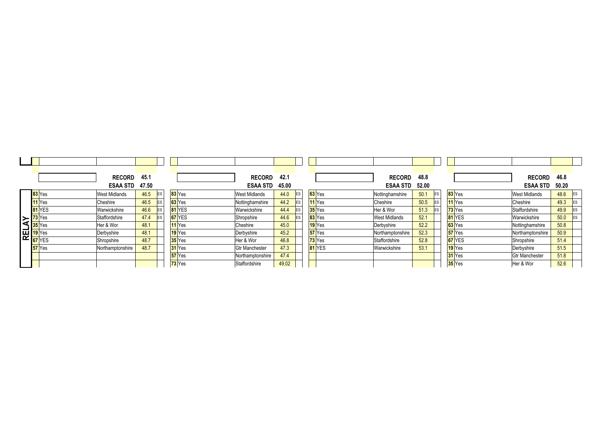| 42.1<br>48.8<br><b>RECORD</b><br><b>RECORD</b>                                                                            | 46.8<br><b>RECORD</b>                                          |
|---------------------------------------------------------------------------------------------------------------------------|----------------------------------------------------------------|
| <b>ESAA STD</b><br><b>ESAA STD</b><br>52.00<br>45.00                                                                      | <b>ESAA STD</b><br>50.20                                       |
| 83 Yes<br>$63$ Yes<br>50.1<br>44.0<br><b>IES</b><br>ES<br>Nottinghamshire<br><b>West Midlands</b><br><b>West Midlands</b> | 48.6<br><b>ES</b>                                              |
| $11$ <sup>Yes</sup><br>$11$ Yes<br>Cheshire<br>50.5<br>44.2<br>Cheshire<br>Nottinghamshire<br>ES<br>ES                    | 49.3                                                           |
| $73$ Yes<br>$35$ <sup>Yes</sup><br>51.3<br>Warwickshire<br>44.4<br>Her & Wor<br>ES<br>Staffordshire<br>ES                 | 49.9<br>ES                                                     |
| 81 YES<br>83 Yes<br>52.1<br>44.6<br>Warwickshire<br>Shropshire<br><b>West Midlands</b><br>ES                              | 50.0<br>ES                                                     |
| $63$ Yes<br>$19$ Yes<br>52.2<br>45.0<br>Derbyshire<br>Nottinghamshire                                                     | 50.8                                                           |
| $57$ Yes<br>$57$ Yes<br>52.3<br>45.2<br>Northamptonshire<br>Derbyshire<br>Northamptonshire                                | 50.9                                                           |
| $73$ <sup>Yes</sup><br><b>67</b> YES<br>52.8<br>46.8<br>Staffordshire<br>Her & Wor                                        | 51.4                                                           |
| $19$ Yes<br>81 YES<br>53.1<br>47.3<br>Warwickshire<br><b>Gtr Manchester</b>                                               | 51.5                                                           |
| 31 Yes<br>47.4<br>Northamptonshire                                                                                        | 51.8                                                           |
| 35 Yes<br>49.02<br>Staffordshire                                                                                          | 52.6                                                           |
|                                                                                                                           | Shropshire<br>Derbyshire<br><b>Gtr Manchester</b><br>Her & Wor |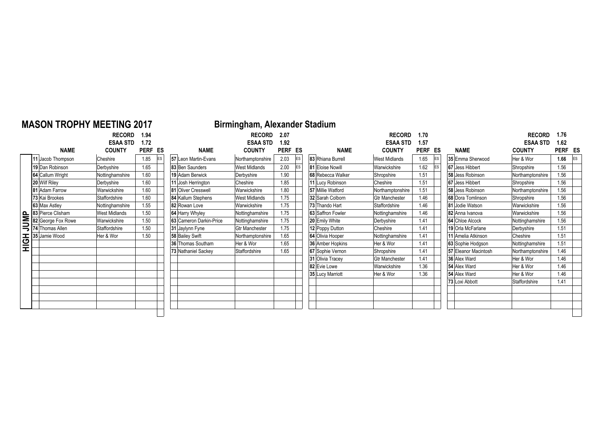| <b>MASON TROPHY MEETING 2017</b>                                              |                      |         |            |                         | Birmingham, Alexander Stadium |         |           |                   |                       |         |            |                      |                  |         |           |
|-------------------------------------------------------------------------------|----------------------|---------|------------|-------------------------|-------------------------------|---------|-----------|-------------------|-----------------------|---------|------------|----------------------|------------------|---------|-----------|
|                                                                               | <b>RECORD</b>        | 1.94    |            |                         | <b>RECORD</b>                 | 2.07    |           |                   | <b>RECORD</b>         | 1.70    |            |                      | <b>RECORD</b>    | 1.76    |           |
|                                                                               | <b>ESAA STD</b>      | 1.72    |            |                         | <b>ESAA STD</b>               | 1.92    |           |                   | <b>ESAA STD</b>       | 1.57    |            |                      | <b>ESAA STD</b>  | 1.62    |           |
| <b>NAME</b>                                                                   | <b>COUNTY</b>        | PERF ES |            | <b>NAME</b>             | <b>COUNTY</b>                 | PERF ES |           | <b>NAME</b>       | <b>COUNTY</b>         | PERF ES |            | <b>NAME</b>          | <b>COUNTY</b>    | PERF ES |           |
| 11 Jacob Thompson                                                             | Cheshire             | 1.85    | <b>IES</b> | 57 Leon Martin-Evans    | Northamptonshire              | 2.03    | ES        | 83 Rhiana Burrell | <b>West Midlands</b>  | 1.65    | ES         | 35 Emma Sherwood     | Her & Wor        | 1.66    | <b>ES</b> |
| 19 Dan Robinson                                                               | Derbyshire           | 1.65    |            | 83 Ben Saunders         | West Midlands                 | 2.00    | <b>ES</b> | 81 Eloise Nowill  | Warwickshire          | 1.62    | <b>IES</b> | 67 Jess Hibbert      | Shropshire       | 1.56    |           |
| 64 Callum Wright                                                              | Nottinghamshire      | 1.60    |            | 19 Adam Berwick         | Derbyshire                    | 1.90    |           | 68 Rebecca Walker | Shropshire            | 1.51    |            | 58 Jess Robinson     | Northamptonshire | 1.56    |           |
| 20 Wilf Riley                                                                 | Derbyshire           | 1.60    |            | 11 Josh Herrington      | Cheshire                      | 1.85    |           | 11 Lucy Robinson  | Cheshire              | 1.51    |            | 67 Jess Hibbert      | Shropshire       | 1.56    |           |
| 81 Adam Farrow                                                                | Warwickshire         | 1.60    |            | 81 Oliver Cresswell     | Warwickshire                  | 1.80    |           | 57 Millie Watford | Northamptonshire      | 1.51    |            | 58 Jess Robinson     | Northamptonshire | 1.56    |           |
| 73 Kai Brookes                                                                | Staffordshire        | 1.60    |            | 84 Kallum Stephens      | <b>West Midlands</b>          | 1.75    |           | 32 Sarah Colborn  | <b>Gtr Manchester</b> | 1.46    |            | 68 Dora Tomlinson    | Shropshire       | 1.56    |           |
| 63 Max Astlev                                                                 | Nottinghamshire      | 1.55    |            | 82 Rowan Love           | Warwickshire                  | 1.75    |           | 73 Thando Hart    | Staffordshire         | 1.46    |            | 81 Jodie Watson      | Warwickshire     | 1.56    |           |
| 83 Pierce Clisham<br>83 Pierce Clishan<br>82 George Fox Ru<br>74 Thomas Allen | <b>West Midlands</b> | 1.50    |            | 64 Harry Whyley         | Nottinghamshire               | 1.75    |           | 63 Saffron Fowler | Nottinghamshire       | 1.46    |            | 82 Anna Ivanova      | Warwickshire     | 1.56    |           |
| 82 George Fox Rowe                                                            | Warwickshire         | 1.50    |            | 63 Cameron Darkin-Price | Nottinghamshire               | 1.75    |           | 20 Emily White    | Derbyshire            | 1.41    |            | 64 Chloe Alcock      | Nottinghamshire  | 1.56    |           |
|                                                                               | Staffordshire        | 1.50    |            | 31 Jaylynn Fyne         | <b>Gtr Manchester</b>         | 1.75    |           | 12 Poppy Dutton   | Cheshire              | 1.41    |            | 19 Orla McFarlane    | Derbyshire       | 1.51    |           |
| 35 Jamie Wood                                                                 | Her & Wor            | 1.50    |            | 58 Bailey Swift         | Northamptonshire              | 1.65    |           | 64 Olivia Hooper  | Nottinghamshire       | 1.41    |            | 11 Amelia Atkinson   | Cheshire         | 1.51    |           |
|                                                                               |                      |         |            | 36 Thomas Southam       | Her & Wor                     | 1.65    |           | 36 Amber Hopkins  | Her & Wor             | 1.41    |            | 63 Sophie Hodgson    | Nottinghamshire  | 1.51    |           |
|                                                                               |                      |         |            | 73 Nathaniel Sackey     | Staffordshire                 | 1.65    |           | 67 Sophie Vernon  | Shropshire            | 1.41    |            | 57 Eleanor Macintosh | Northamptonshire | 1.46    |           |
|                                                                               |                      |         |            |                         |                               |         |           | 31 Olivia Tracev  | <b>Gtr Manchester</b> | 1.41    |            | 36 Alex Ward         | Her & Wor        | 1.46    |           |
|                                                                               |                      |         |            |                         |                               |         |           | 82 Evie Lowe      | Warwickshire          | 1.36    |            | 54 Alex Ward         | Her & Wor        | 1.46    |           |
|                                                                               |                      |         |            |                         |                               |         |           | 35 Lucy Marriott  | Her & Wor             | 1.36    |            | 54 Alex Ward         | Her & Wor        | 1.46    |           |
|                                                                               |                      |         |            |                         |                               |         |           |                   |                       |         |            | 73 Loxi Abbott       | Staffordshire    | 1.41    |           |
|                                                                               |                      |         |            |                         |                               |         |           |                   |                       |         |            |                      |                  |         |           |
|                                                                               |                      |         |            |                         |                               |         |           |                   |                       |         |            |                      |                  |         |           |
|                                                                               |                      |         |            |                         |                               |         |           |                   |                       |         |            |                      |                  |         |           |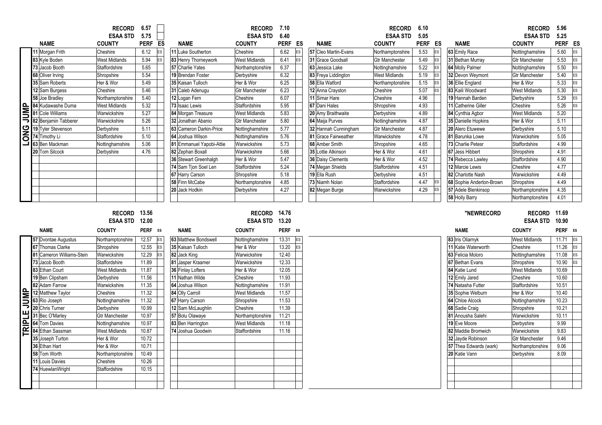|             |                           | <b>RECORD</b><br><b>ESAA STD</b> | 6.57<br>5.75 |    |                          | <b>RECORD</b><br><b>ESAA STD</b> | 7.10<br>6.40 |    |                      | <b>RECORD</b><br><b>ESAA STD</b> | 6.10<br>5.05 |    |                          | <b>RECORD</b><br><b>ESAA STD</b> | 5.96<br>5.25 |           |
|-------------|---------------------------|----------------------------------|--------------|----|--------------------------|----------------------------------|--------------|----|----------------------|----------------------------------|--------------|----|--------------------------|----------------------------------|--------------|-----------|
|             | <b>NAME</b>               | <b>COUNTY</b>                    | PERF ES      |    | <b>NAME</b>              | <b>COUNTY</b>                    | <b>PERF</b>  | ES | <b>NAME</b>          | <b>COUNTY</b>                    | PERF ES      |    | <b>NAME</b>              | <b>COUNTY</b>                    | PERF ES      |           |
|             | 11 Morgan Frith           | Cheshire                         | 6.12         | ES | 11 Luke Southerton       | Cheshire                         | 6.62         | ES | 57 Cleo Martin-Evans | Northamptonshire                 | 5.53         | ES | 63 Emily Race            | Nottinghamshire                  | 5.60         | ES        |
|             | 83 Kyle Boden             | <b>West Midlands</b>             | 5.94         | ES | 83 Henry Thorneywork     | <b>West Midlands</b>             | 6.41         | ES | 31 Grace Goodsall    | <b>Gtr Manchester</b>            | 5.49         | ES | 31 Bethan Murray         | <b>Gtr Manchester</b>            | 5.53         | ES        |
|             | 73 Jacob Booth            | Staffordshire                    | 5.65         |    | 57 Charlie Yates         | Northamptonshire                 | 6.37         |    | 63 Jessica Lake      | Nottinghamshire                  | 5.22         | ES | 64 Molly Palmer          | Nottinghamshire                  | 5.50         | ES        |
|             | 68 Oliver Irving          | Shropshire                       | 5.54         |    | 19 Brendan Foster        | Derbyshire                       | 6.32         |    | 83 Freya Liddington  | <b>West Midlands</b>             | 5.19         | ES | 32 Devon Weymont         | <b>Gtr Manchester</b>            | 5.40         | ES        |
|             | 35 Sam Roberts            | Her & Wor                        | 5.49         |    | 35 Kaisan Tulloch        | Her & Wor                        | 6.25         |    | 58 Ella Watford      | Northamptonshire                 | 5.15         | ES | 36 Ellie England         | Her & Wor                        | 5.33         | ES        |
|             | 12 Sam Burgess            | Cheshire                         | 5.46         |    | 31 Caleb Adenugu         | <b>Gtr Manchester</b>            | 6.23         |    | 12 Anna Crayston     | Cheshire                         | 5.07         | ES | 83 Kaili Woodward        | <b>West Midlands</b>             | 5.30         | ES        |
|             | 58 Joe Bradley            | Northamptonshire                 | 5.40         |    | 12 Logan Fern            | Cheshire                         | 6.07         |    | 11 Simar Hare        | Cheshire                         | 4.96         |    | 19 Hannah Barden         | Derbyshire                       | 5.29         | ES        |
|             | 84 Kudawashe Duma         | <b>West Midlands</b>             | 5.32         |    | 73 Isaac Lewis           | Staffordshire                    | 5.95         |    | 67 Dani Hales        | Shropshire                       | 4.93         |    | 11 Catherine Giller      | Cheshire                         | 5.26         | ES        |
| <b>JNP</b>  | 81 Cole Williams          | Warwickshire                     | 5.27         |    | 84 Morgan Treasure       | <b>West Midlands</b>             | 5.83         |    | 20 Amy Braithwaite   | Derbyshire                       | 4.89         |    | 84 Cynthia Agbor         | <b>West Midlands</b>             | 5.20         |           |
|             | 82 Benjamin Tabberer      | Warwickshire                     | 5.26         |    | 32 Jonathan Abanio       | <b>Gtr Manchester</b>            | 5.80         |    | 64 Maija Purves      | Nottinghamshire                  | 4.87         |    | 35 Danielle Hopkins      | Her & Wor                        | 5.11         |           |
| <b>ONC</b>  | 19 Tyler Stevenson        | Derbyshire                       | 5.11         |    | 63 Cameron Darkin-Price  | Nottinghamshire                  | 5.77         |    | 32 Hannah Cunningham | <b>Gtr Manchester</b>            | 4.87         |    | 20 Alero Etuwewe         | Derbyshire                       | 5.10         |           |
|             | 74 Timothy Li             | Staffordshire                    | 5.10         |    | 64 Joshua Wilson         | Nottinghamshire                  | 5.76         |    | 81 Grace Fairweather | Warwickshire                     | 4.78         |    | 81 Barunka Lowe          | Warwickshire                     | 5.05         |           |
| ⊐           | 63 Ben Mackman            | Nottinghamshire                  | 5.06         |    | 81 Emmanuel Yapobi-Attie | Warwickshire                     | 5.73         |    | 68 Amber Smith       | Shropshire                       | 4.65         |    | 73 Charlie Petesr        | Staffordshire                    | 4.99         |           |
|             | 20 Tom Silcock            | Derbyshire                       | 4.76         |    | 82 Zephan Boxall         | Warwickshire                     | 5.66         |    | 35 Lottie Atkinson   | Her & Wor                        | 4.61         |    | 67 Jess Hibbert          | Shropshire                       | 4.91         |           |
|             |                           |                                  |              |    | 36 Stewart Greenhalgh    | Her & Wor                        | 5.47         |    | 36 Daisy Clements    | Her & Wor                        | 4.52         |    | 74 Rebecca Lawley        | Staffordshire                    | 4.90         |           |
|             |                           |                                  |              |    | 74 Sam Tjon Soel Len     | Staffordshire                    | 5.24         |    | 74 Megan Shields     | Staffordshire                    | 4.51         |    | 12 Marcie Lewis          | Cheshire                         | 4.77         |           |
|             |                           |                                  |              |    | 67 Harry Carson          | Shropshire                       | 5.18         |    | 19 Ella Rush         | Derbyshire                       | 4.51         |    | 82 Charlotte Nash        | Warwickshire                     | 4.49         |           |
|             |                           |                                  |              |    | 58 Finn McCabe           | Northamptonshire                 | 4.85         |    | 73 Niamh Nolan       | Staffordshire                    | 4.47         | ES | 68 Sophie Anderton-Brown | Shropshire                       | 4.49         |           |
|             |                           |                                  |              |    | 20 Jack Hodkin           | Derbyshire                       | 4.27         |    | 82 Megan Burge       | Warwickshire                     | 4.29         | ES | 57 Adele Blenkinsop      | Northamptonshire                 | 4.35         |           |
|             |                           |                                  |              |    |                          |                                  |              |    |                      |                                  |              |    | 58 Holly Barry           | Northamptonshire                 | 4.01         |           |
|             |                           |                                  |              |    |                          |                                  |              |    |                      |                                  |              |    |                          |                                  |              |           |
|             |                           |                                  |              |    |                          |                                  |              |    |                      |                                  |              |    |                          |                                  |              |           |
|             |                           | RECORD 13.56                     |              |    |                          | <b>RECORD</b>                    | 14.76        |    |                      |                                  |              |    | "NEWRECORD               | <b>RECORD</b>                    | 11.69        |           |
|             |                           | <b>ESAA STD</b>                  | 12.00        |    |                          | <b>ESAA STD</b>                  | 13.20        |    |                      |                                  |              |    |                          | <b>ESAA STD</b>                  | 10.90        |           |
|             | <b>NAME</b>               | <b>COUNTY</b>                    | PERF ES      |    | <b>NAME</b>              | <b>COUNTY</b>                    | PERF ES      |    |                      |                                  |              |    | <b>NAME</b>              | <b>COUNTY</b>                    | PERF ES      |           |
|             | 57 Dvontae Augustus       | Northamptonshire                 | 12.57        | ES | 63 Matthew Bondswell     | Nottinghamshire                  | 13.31        | ES |                      |                                  |              |    | 83 Iris Oliarnyk         | <b>West Midlands</b>             | 11.71        | <b>ES</b> |
|             | 67 Thomas Clarke          | Shropshire                       | 12.55        | ES | 35 Kaisan Tulloch        | Her & Wor                        | 13.20        | ES |                      |                                  |              |    | 11 Katie Waterworth      | Cheshire                         | 11.26        | ES        |
|             | 81 Cameron Williams-Stein | Warwickshire                     | 12.29        | ES | 82 Jack King             | Warwickshire                     | 12.40        |    |                      |                                  |              |    | 63 Felicia Moloro        | Nottinghamshire                  | 11.08        | ES        |
|             | 73 Jacob Booth            | Staffordshire                    | 11.89        |    | 81 Jasper Kraamer        | Warwickshire                     | 12.33        |    |                      |                                  |              |    | 67 Bethan Evans          | Shropshire                       | 10.90        | ES        |
|             | 83 Ethan Court            | <b>West Midlands</b>             | 11.87        |    | 36 Finlay Lofters        | Her & Wor                        | 12.05        |    |                      |                                  |              |    | 84 Katie Lund            | <b>West Midlands</b>             | 10.69        |           |
|             | 19 Ben Clipsham           | Derbyshire                       | 11.56        |    | 11 Nathan Wilde          | Cheshire                         | 11.93        |    |                      |                                  |              |    | 12 Emily Jared           | Cheshire                         | 10.60        |           |
|             | 82 Adam Farrow            | Warwickshire                     | 11.35        |    | 64 Joshua Wilson         | Nottinghamshire                  | 11.91        |    |                      |                                  |              |    | 74 Natasha Futter        | Staffordshire                    | 10.51        |           |
|             | 12 Matthew Taylor         | Cheshire                         | 11.32        |    | 84 Olly Carroll          | <b>West Midlands</b>             | 11.57        |    |                      |                                  |              |    | 35 Sophie Welburn        | Her & Wor                        | 10.40        |           |
|             | 63 Rio Joseph             | Nottinghamshire                  | 11.32        |    | 67 Harry Carson          | Shropshire                       | 11.53        |    |                      |                                  |              |    | 64 Chloe Alcock          | Nottinghamshire                  | 10.23        |           |
| <b>SNUT</b> | 20 Chris Turner           | Derbyshire                       | 10.99        |    | 12 Sam McLaughlin        | Cheshire                         | 11.39        |    |                      |                                  |              |    | 68 Sadie Craig           | Shropshire                       | 10.21        |           |
|             | 31 Bec O'Marley           | <b>Gtr Manchester</b>            | 10.97        |    | 57 Bolu Olawaye          | Northamptonshire                 | 11.21        |    |                      |                                  |              |    | 81 Anousha Salehi        | Warwickshire                     | 10.11        |           |
|             | 64 Tom Davies             | Nottinghamshire                  | 10.97        |    | 83 Ben Harrington        | <b>West Midlands</b>             | 11.18        |    |                      |                                  |              |    | 19 Eve Moore             | Derbyshire                       | 9.99         |           |
| TRIPLE      | 84 Ethan Sassman          | <b>West Midlands</b>             | 10.87        |    | 74 Joshua Goodwin        | Staffordshire                    | 11.16        |    |                      |                                  |              |    | 82 Maddie Bromwich       | Warwickshire                     | 9.83         |           |
|             | 35 Joseph Turton          | Her & Wor                        | 10.72        |    |                          |                                  |              |    |                      |                                  |              |    | 32 Jayde Robinson        | <b>Gtr Manchester</b>            | 9.46         |           |
|             | 36 Ethan Hart             | Her & Wor                        | 10.71        |    |                          |                                  |              |    |                      |                                  |              |    | 57 Thea Edwards (wark)   | Northamptonshire                 | 9.06         |           |
|             | 58 Tom Worth              | Northamptonshire                 | 10.49        |    |                          |                                  |              |    |                      |                                  |              |    | 20 Katie Vann            | Derbyshire                       | 8.09         |           |
|             | 11 Louis Davies           | Cheshire                         | 10.26        |    |                          |                                  |              |    |                      |                                  |              |    |                          |                                  |              |           |
|             | 74 HuewlanWright          | Staffordshire                    | 10.15        |    |                          |                                  |              |    |                      |                                  |              |    |                          |                                  |              |           |
|             |                           |                                  |              |    |                          |                                  |              |    |                      |                                  |              |    |                          |                                  |              |           |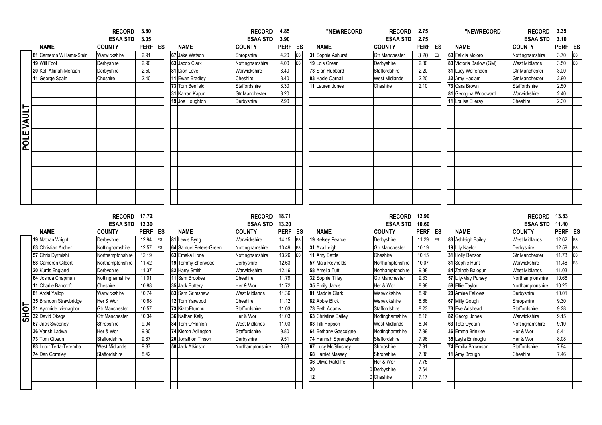|             |                                         | <b>RECORD</b><br><b>ESAA STD</b> | 3.80<br>3.05     |          |                                      | <b>RECORD</b><br><b>ESAA STD</b> | 4.85<br>3.90         |           | "NEWRECORD                        | <b>RECORD</b><br><b>ESAA STD</b>  | 2.75<br>2.75     |           | "NEWRECORD                          | <b>RECORD</b><br><b>ESAA STD</b>      | 3.35<br>3.10     |          |
|-------------|-----------------------------------------|----------------------------------|------------------|----------|--------------------------------------|----------------------------------|----------------------|-----------|-----------------------------------|-----------------------------------|------------------|-----------|-------------------------------------|---------------------------------------|------------------|----------|
|             | <b>NAME</b>                             | <b>COUNTY</b>                    | PERF ES          |          | <b>NAME</b>                          | <b>COUNTY</b>                    | <b>PERF</b>          | ES        | <b>NAME</b>                       | <b>COUNTY</b>                     | PERF ES          |           | <b>NAME</b>                         | <b>COUNTY</b>                         | PERF ES          |          |
|             | 81 Cameron Williams-Stein               | Warwickshire                     | 2.91             |          | 67 Jake Watson                       | Shropshire                       | 4.20                 | ES        | 31 Sophie Ashurst                 | <b>Gtr Manchester</b>             | 3.20             | ES        | 63 Felicia Moloro                   | Nottinghamshire                       | 3.70             | ES       |
|             | 19 Will Foot                            | Derbyshire                       | 2.90             |          | 63 Jacob Clark                       | Nottinghamshire                  | 4.00                 | ES        | 19 Lois Green                     | Derbyshire                        | 2.30             |           | 83 Victoria Barlow (GM)             | <b>West Midlands</b>                  | 3.50             | ES       |
|             | 20 Kofi Afirifah-Mensah                 | Derbyshire                       | 2.50             |          | 81 Dion Love                         | Warwickshire                     | 3.40                 |           | 73 Sian Hubbard                   | Staffordshire                     | 2.20             |           | 31 Lucy Wolfenden                   | <b>Gtr Manchester</b>                 | 3.00             |          |
|             | 11 George Spain                         | Cheshire                         | 2.40             |          | 11 Ewan Bradley                      | Cheshire                         | 3.40                 |           | 83 Kacie Carnall                  | <b>West Midlands</b>              | 2.20             |           | 32 Amy Haslam                       | <b>Gtr Manchester</b>                 | 2.90             |          |
|             |                                         |                                  |                  |          | 73 Tom Benfield                      | <b>Staffordshire</b>             | 3.30                 |           | 11 Lauren Jones                   | Cheshire                          | 2.10             |           | 73 Cara Brown                       | Staffordshire                         | 2.50             |          |
|             |                                         |                                  |                  |          | 31 Karran Kapur                      | <b>Gtr Manchester</b>            | 3.20                 |           |                                   |                                   |                  |           | 81 Georgina Woodward                | Warwickshire                          | 2.40             |          |
|             |                                         |                                  |                  |          | 19 Joe Houghton                      | Derbyshire                       | 2.90                 |           |                                   |                                   |                  |           | 11 Louise Elleray                   | Cheshire                              | 2.30             |          |
|             |                                         |                                  |                  |          |                                      |                                  |                      |           |                                   |                                   |                  |           |                                     |                                       |                  |          |
| POLE VAULT  |                                         |                                  |                  |          |                                      |                                  |                      |           |                                   |                                   |                  |           |                                     |                                       |                  |          |
|             |                                         |                                  |                  |          |                                      |                                  |                      |           |                                   |                                   |                  |           |                                     |                                       |                  |          |
|             |                                         |                                  |                  |          |                                      |                                  |                      |           |                                   |                                   |                  |           |                                     |                                       |                  |          |
|             |                                         |                                  |                  |          |                                      |                                  |                      |           |                                   |                                   |                  |           |                                     |                                       |                  |          |
|             |                                         |                                  |                  |          |                                      |                                  |                      |           |                                   |                                   |                  |           |                                     |                                       |                  |          |
|             |                                         |                                  |                  |          |                                      |                                  |                      |           |                                   |                                   |                  |           |                                     |                                       |                  |          |
|             |                                         |                                  |                  |          |                                      |                                  |                      |           |                                   |                                   |                  |           |                                     |                                       |                  |          |
|             |                                         |                                  |                  |          |                                      |                                  |                      |           |                                   |                                   |                  |           |                                     |                                       |                  |          |
|             |                                         |                                  |                  |          |                                      |                                  |                      |           |                                   |                                   |                  |           |                                     |                                       |                  |          |
|             |                                         |                                  |                  |          |                                      |                                  |                      |           |                                   |                                   |                  |           |                                     |                                       |                  |          |
|             |                                         |                                  |                  |          |                                      |                                  |                      |           |                                   |                                   |                  |           |                                     |                                       |                  |          |
|             |                                         |                                  |                  |          |                                      |                                  |                      |           |                                   |                                   |                  |           |                                     |                                       |                  |          |
|             |                                         |                                  |                  |          |                                      |                                  |                      |           |                                   |                                   |                  |           |                                     |                                       |                  |          |
|             |                                         | RECORD 17.72                     |                  |          |                                      | <b>RECORD</b>                    | 18.71                |           |                                   | <b>RECORD</b>                     | 12.90            |           |                                     | RECORD 13.83                          |                  |          |
|             | <b>NAME</b>                             | <b>ESAA STD</b><br><b>COUNTY</b> | 12.30<br>PERF ES |          | <b>NAME</b>                          | <b>ESAA STD</b><br><b>COUNTY</b> | 13.20<br><b>PERF</b> | ES        | <b>NAME</b>                       | <b>ESAA STD</b><br><b>COUNTY</b>  | 10.60<br>PERF ES |           | <b>NAME</b>                         | <b>ESAA STD</b><br><b>COUNTY</b>      | 11.40<br>PERF ES |          |
|             |                                         |                                  |                  |          |                                      | Warwickshire                     |                      | ES        |                                   |                                   |                  | <b>ES</b> |                                     | <b>West Midlands</b>                  |                  |          |
|             | 19 Nathan Wright<br>63 Christian Archer | Derbyshire<br>Nottinghamshire    | 12.94<br>12.57   | ES<br>ES | 81 Lewis Byng                        | Nottinghamshire                  | 14.15<br>13.49       | ES        | 19 Kelsey Pearce<br>31 Ava Leigh  | Derbyshire                        | 11.29<br>10.19   |           | 83 Ashleigh Bailey                  | Derbyshire                            | 12.62<br>12.59   | ES       |
|             | 57 Chris Dyrmishi                       | Northamptonshire                 |                  |          | 64 Samuel Peters-Green               |                                  |                      | <b>ES</b> |                                   | <b>Gtr Manchester</b><br>Cheshire |                  |           | 19 Lily Naylor                      |                                       |                  | ES       |
|             | 58 Cameron Gilbert                      | Northamptonshire                 | 12.19<br>11.42   |          | 63 Emeka Ilione<br>19 Tommy Sherwood | Nottinghamshire<br>Derbyshire    | 13.26<br>12.63       |           | 11 Amy Battle<br>57 Maia Reynolds | Northamptonshire                  | 10.15<br>10.07   |           | 31 Holly Benson                     | <b>Gtr Manchester</b><br>Warwickshire | 11.73<br>11.46   | ES<br>ES |
|             | 20 Kurtis England                       | Derbyshire                       | 11.37            |          | 82 Harry Smith                       | Warwickshire                     | 12.16                |           | 58 Amelia Tutt                    | Northamptonshire                  | 9.38             |           | 81 Sophie Hunt<br>84 Zainab Balogun | <b>West Midlands</b>                  | 11.03            |          |
|             | 64 Joshua Chapman                       | Nottinghamshire                  | 11.01            |          | 11 Sam Brookes                       | Cheshire                         | 11.79                |           | 32 Sophie Tilley                  | <b>Gtr Manchester</b>             | 9.33             |           | 57 Lily-May Pursey                  | Northamptonshire                      | 10.66            |          |
|             | 11 Charlie Bancroft                     | Cheshire                         | 10.88            |          | 35 Jack Buttery                      | Her & Wor                        | 11.72                |           | 35 Emily Jarvis                   | Her & Wor                         | 8.98             |           | 58 Ellie Taylor                     | Northamptonshire                      | 10.25            |          |
|             | 81 Ardal Yallop                         | Warwickshire                     | 10.74            |          | 83 Sam Grimshaw                      | West Midlands                    | 11.36                |           | 81 Maddie Clark                   | Warwickshire                      | 8.96             |           | 20 Amiee Fellows                    | Derbyshire                            | 10.01            |          |
|             | 35 Brandon Strawbridge                  | Her & Wor                        | 10.68            |          | 12 Tom Yarwood                       | Cheshire                         | 11.12                |           | 82 Abbie Blick                    | Warwickshire                      | 8.66             |           | 67 Milly Gough                      | Shropshire                            | 9.30             |          |
|             | 31 Ayomide Ivienagbor                   | <b>Gtr Manchester</b>            | 10.57            |          | 73 KizitoEtumnu                      | Staffordshire                    | 11.03                |           | 73 Beth Adams                     | Staffordshire                     | 8.23             |           | 73 Eve Adshead                      | Staffordshire                         | 9.28             |          |
|             | 32 David Okega                          | <b>Gtr Manchester</b>            | 10.34            |          | 36 Nathan Kelly                      | Her & Wor                        | 11.03                |           | 63 Christine Bailey               | Nottinghamshire                   | 8.16             |           | 82 Georgi Jones                     | Warwickshire                          | 9.15             |          |
| <b>SHOT</b> | 67 Jack Sweeney                         | Shropshire                       | 9.94             |          | 84 Tom O'Hanlon                      | <b>West Midlands</b>             | 11.03                |           | 83 Tilli Hopson                   | <b>West Midlands</b>              | 8.04             |           | 63 Toto Oyetan                      | Nottinghamshire                       | 9.10             |          |
|             | 36 Vansh Ladwa                          | Her & Wor                        | 9.90             |          | 74 Kieron Adlington                  | Staffordshire                    | 9.80                 |           | 64 Bethany Gascoigne              | Nottinghamshire                   | 7.99             |           | 36 Emma Brinkley                    | Her & Wor                             | 8.41             |          |
|             | 73 Tom Gibson                           | Staffordshire                    | 9.87             |          | 20 Jonathon Tinson                   | Derbyshire                       | 9.51                 |           | 74 Hannah Sprenglewski            | Staffordshire                     | 7.96             |           | 35 Leyla Eminoglu                   | Her & Wor                             | 8.08             |          |
|             | 83 Lutor Terfa-Teremba                  | <b>West Midlands</b>             | 9.87             |          | 58 Jack Atkinson                     | Northamptonshire                 | 8.53                 |           | <b>67 Lucy McGlinchey</b>         | Shropshire                        | 7.91             |           | 74 Emilia Brownson                  | Staffordshire                         | 7.84             |          |
|             | 74 Dan Gormley                          | Staffordshire                    | 8.42             |          |                                      |                                  |                      |           | 68 Harriet Massey                 | Shropshire                        | 7.86             |           | 11 Amy Brough                       | Cheshire                              | 7.46             |          |
|             |                                         |                                  |                  |          |                                      |                                  |                      |           | 36 Olivia Ratcliffe               | Her & Wor                         | 7.75             |           |                                     |                                       |                  |          |
|             |                                         |                                  |                  |          |                                      |                                  |                      |           | 20                                | 0 Derbyshire                      | 7.64             |           |                                     |                                       |                  |          |
|             |                                         |                                  |                  |          |                                      |                                  |                      |           | 12                                | 0 Cheshire                        | 7.17             |           |                                     |                                       |                  |          |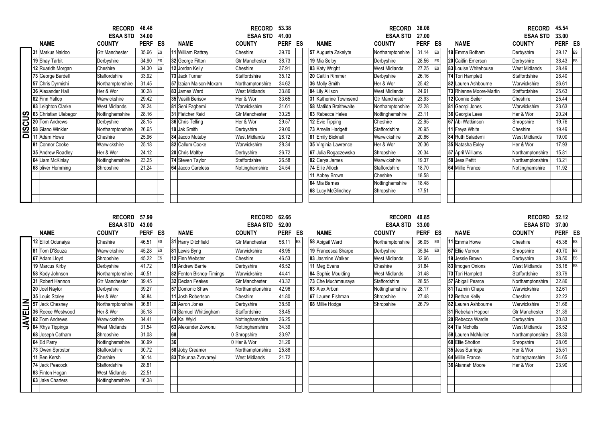| <b>NAME</b>                             | <b>RECORD</b><br><b>ESAA STD</b><br><b>COUNTY</b> | 46.46<br>34.00<br><b>PERF</b> | ES | <b>NAME</b>            | <b>RECORD</b><br><b>ESAA STD</b><br><b>COUNTY</b> | 53.38<br>41.00<br>PERF | ES | <b>NAME</b>            | <b>RECORD</b><br><b>ESAA STD</b><br><b>COUNTY</b> | 36.08<br>27.00<br><b>PERF</b> | ES | <b>NAME</b>             | <b>RECORD</b><br><b>ESAA STD</b><br><b>COUNTY</b> | 45.54<br>33.00<br>PERF ES |           |
|-----------------------------------------|---------------------------------------------------|-------------------------------|----|------------------------|---------------------------------------------------|------------------------|----|------------------------|---------------------------------------------------|-------------------------------|----|-------------------------|---------------------------------------------------|---------------------------|-----------|
| 31 Markus Naidoo                        | <b>Gtr Manchester</b>                             | 35.66                         |    | 11 William Rattray     | Cheshire                                          | 39.70                  |    | 57 Augusta Zakelyte    | Northamptonshire                                  | 31.14                         | ES | 19 Emma Botham          | Derbyshire                                        | 39.17                     | <b>ES</b> |
| 19 Shay Tarbit                          | Derbyshire                                        | 34.90                         |    | 32 George Fitton       | <b>Gtr Manchester</b>                             | 38.73                  |    | 19 Mia Selby           | Derbyshire                                        | 28.56                         |    | 20 Caitlin Emerson      | Derbyshire                                        | 38.43                     | ES        |
| 12 Ruaridh Morgan                       | Cheshire                                          | 34.30                         |    | 12 Jordan Kelly        | Cheshire                                          | 37.91                  |    | 83 Katy Wright         | <b>West Midlands</b>                              | 27.25                         |    | 83 Louise Whitehouse    | <b>West Midlands</b>                              | 28.49                     |           |
| 73 George Bardell                       | Staffordshire                                     | 33.92                         |    | 73 Jack Turner         | Staffordshire                                     | 35.12                  |    | 20 Caitlin Rimmer      | Derbyshire                                        | 26.16                         |    | 74 Tori Hamplett        | Staffordshire                                     | 28.40                     |           |
| 57 Chris Dyrmishi                       | Northamptonshire                                  | 31.45                         |    | 57 Izaiah Maison-Moxam | Northamptonshire                                  | 34.62                  |    | 36 Molly Smith         | Her & Wor                                         | 25.42                         |    | 82 Lauren Ashbourne     | Warwickshire                                      | 26.61                     |           |
| 36 Alexander Hall                       | Her & Wor                                         | 30.28                         |    | 83 James Ward          | <b>West Midlands</b>                              | 33.86                  |    | 84 Lily Allison        | <b>West Midlands</b>                              | 24.61                         |    | 73 Rhianne Moore-Martin | Staffordshire                                     | 25.63                     |           |
| 82 Finn Yallop                          | Warwickshire                                      | 29.42                         |    | 35 Vasilli Berisov     | Her & Wor                                         | 33.65                  |    | 31 Katherine Townsend  | <b>Gtr Manchester</b>                             | 23.93                         |    | 12 Connie Seiler        | Cheshire                                          | 25.44                     |           |
| 83 Leighton Clarke                      | <b>West Midlands</b>                              | 28.24                         |    | 81 Seni Fagbemi        | Warwickshire                                      | 31.61                  |    | 58 Matilda Braithwaite | Northamptonshire                                  | 23.28                         |    | 81 Georgi Jones         | Warwickshire                                      | 23.63                     |           |
| 63 Christian Ulebegor<br>20 Tom Andrews | Nottinghamshire                                   | 28.16                         |    | 31 Fletcher Reid       | <b>Gtr Manchester</b>                             | 30.25                  |    | 63 Rebecca Hales       | Nottinghamshire                                   | 23.11                         |    | 36 Georgia Lees         | Her & Wor                                         | 20.24                     |           |
|                                         | Derbyshire                                        | 28.15                         |    | 36 Chris Telling       | Her & Wor                                         | 29.57                  |    | 12 Evie Tipping        | Cheshire                                          | 22.95                         |    | 67 Abi Watkinson        | Shropshire                                        | 19.76                     |           |
| 58 Giano Winkler<br>11 Adam Howe        | Northamptonshire                                  | 26.65                         |    | 19 Jak Smith           | Derbyshire                                        | 29.00                  |    | 73 Amelia Hadgett      | Staffordshire                                     | 20.95                         |    | 11 Freya White          | Cheshire                                          | 19.49                     |           |
|                                         | Cheshire                                          | 25.96                         |    | 84 Jacob Muteby        | <b>West Midlands</b>                              | 28.72                  |    | 81 Emily Bicknell      | Warwickshire                                      | 20.66                         |    | 84 Ruth Salademi        | <b>West Midlands</b>                              | 19.00                     |           |
| 81 Connor Cooke                         | Warwickshire                                      | 25.18                         |    | 82 Callum Cooke        | Warwickshire                                      | 28.34                  |    | 35 Virginia Lawrence   | Her & Wor                                         | 20.36                         |    | 35 Natasha Exley        | Her & Wor                                         | 17.93                     |           |
| 35 Andrew Roadley                       | Her & Wor                                         | 24.12                         |    | 20 Chris Maltby        | Derbyshire                                        | 26.72                  |    | 67 Julia Rogaczewska   | Shropshire                                        | 20.34                         |    | 57 April Williams       | Northamptonshire                                  | 15.81                     |           |
| 64 Liam McKinlav                        | Nottinghamshire                                   | 23.25                         |    | 74 Steven Taylor       | Staffordshire                                     | 26.58                  |    | 82 Cerys James         | Warwickshire                                      | 19.37                         |    | 58 Jess Pettit          | Northamptonshire                                  | 13.21                     |           |
| 68 oliver Hemming                       | Shropshire                                        | 21.24                         |    | 64 Jacob Careless      | Nottinghamshire                                   | 24.54                  |    | 74 Ellie Allock        | Staffordshire                                     | 18.70                         |    | 64 Millie France        | Nottinghamshire                                   | 11.92                     |           |
|                                         |                                                   |                               |    |                        |                                                   |                        |    | 11 Abbey Brown         | Cheshire                                          | 18.58                         |    |                         |                                                   |                           |           |
|                                         |                                                   |                               |    |                        |                                                   |                        |    | 64 Mia Barnes          | Nottinghamshire                                   | 18.48                         |    |                         |                                                   |                           |           |
|                                         |                                                   |                               |    |                        |                                                   |                        |    | 68 Lucy McGlinchey     | Shropshire                                        | 17.51                         |    |                         |                                                   |                           |           |
|                                         |                                                   |                               |    |                        |                                                   |                        |    |                        |                                                   |                               |    |                         |                                                   |                           |           |
|                                         |                                                   |                               |    |                        |                                                   |                        |    |                        |                                                   |                               |    |                         |                                                   |                           |           |

# RECORD 57.99<br>ESAA STD 43.00

|                | <b>NAME</b>        | <b>COUNTY</b>         | <b>PERF</b> | ES        |
|----------------|--------------------|-----------------------|-------------|-----------|
|                | 12 Elliot Odunaiya | Cheshire              | 46.51       | <b>ES</b> |
|                | 81 Tom D'Souza     | Warwickshire          | 45.28       | <b>ES</b> |
|                | 67 Adam Lloyd      | Shropshire            | 45.22       | ES        |
|                | 19 Marcus Kirby    | Derbyshire            | 41.72       |           |
|                | 58 Kody Johnson    | Northamptonshire      | 40.51       |           |
|                | 31 Robert Hannon   | <b>Gtr Manchester</b> | 39.45       |           |
|                | 20 Joel Naylor     | Derbyshire            | 39.27       |           |
|                | 35 Louis Staley    | Her & Wor             | 38.84       |           |
|                | 57 Jack Chesney    | Northamptonshire      | 36.81       |           |
|                | 36 Reece Westwood  | Her & Wor             | 35.18       |           |
| <b>JAVELIN</b> | 82 Tom Andrews     | Warwickshire          | 34.41       |           |
|                | 84 Rhys Tippings   | <b>West Midlands</b>  | 31.54       |           |
|                | 68 Joseph Cotham   | Shropshire            | 31.08       |           |
|                | 64 Ed Parry        | Nottinghamshire       | 30.99       |           |
|                | 73 Owen Sproston   | Staffordshire         | 30.72       |           |
|                | 11 Ben Kersh       | Cheshire              | 30.14       |           |
|                | 74 Jack Peacock    | Staffordshire         | 28.81       |           |
|                | 83 Finton Hogan    | <b>West Midlands</b>  | 22.51       |           |
|                | 63 Jake Charters   | Nottinghamshire       | 16.38       |           |
|                |                    |                       |             |           |

| <b>NAME</b>           | <b>COUNTY</b>         | <b>PERF</b> | ES |
|-----------------------|-----------------------|-------------|----|
| Harry Ditchfield      | <b>Gtr Manchester</b> | 56.11       | ES |
| Lewis Byng            | Warwickshire          | 48.95       |    |
| Finn Webster          | Cheshire              | 46.53       |    |
| <b>Andrew Barrie</b>  | Derbyshire            | 46.52       |    |
| Fenton Bishop-Timings | Warwickshire          | 44.41       |    |
| Declan Feakes         | <b>Gtr Manchester</b> | 43.32       |    |
| Domonic Shaw          | Northamptonshire      | 42.96       |    |
| Josh Robertson        | Cheshire              | 41.80       |    |
| Aaron Jones           | Derbyshire            | 38.59       |    |
| Samuel Whittingham    | <b>Staffordshire</b>  | 38.45       |    |
| Kai Wyld              | Nottinghamshire       | 36.25       |    |
| Alexander Zowonu      | Nottinghamshire       | 34.39       |    |
|                       | 0 Shropshire          | 33.97       |    |
|                       | 0 Her & Wor           | 31.26       |    |
| <b>Joby Creamer</b>   | Northamptonshire      | 25.88       |    |
| Takunaa Zvavareyi     | <b>West Midlands</b>  | 21.72       |    |
|                       |                       |             |    |
|                       |                       |             |    |
|                       |                       |             |    |
|                       |                       |             |    |
|                       |                       |             |    |

|                        | <b>RECORD</b>                    | 57.99                |    |                          | <b>RECORD</b>                    | 62.66                |     |                     | <b>RECORD</b>                    | 40.85                |    |                     | <b>RECORD</b>                    | 52.12                |
|------------------------|----------------------------------|----------------------|----|--------------------------|----------------------------------|----------------------|-----|---------------------|----------------------------------|----------------------|----|---------------------|----------------------------------|----------------------|
| <b>NAME</b>            | <b>ESAA STD</b><br><b>COUNTY</b> | 43.00<br><b>PERF</b> | ES | <b>NAME</b>              | <b>ESAA STD</b><br><b>COUNTY</b> | 52.00<br><b>PERF</b> | ES  | <b>NAME</b>         | <b>ESAA STD</b><br><b>COUNTY</b> | 33.00<br><b>PERF</b> | ES | <b>NAME</b>         | <b>ESAA STD</b><br><b>COUNTY</b> | 37.00<br><b>PERF</b> |
| <b>Elliot Odunaiya</b> | Cheshire                         | 46.51                | ES | 31 Harry Ditchfield      | <b>Gtr Manchester</b>            | 56.11                | ΙES | 58 Abigail Ward     | Northamptonshire                 | 36.05                | ES | 11 Emma Howe        | Cheshire                         | 45.36                |
| Tom D'Souza            | Warwickshire                     | 45.28                |    | 81 Lewis Byng            | Warwickshire                     | 48.95                |     | 19 Francesca Sharpe | Derbyshire                       | 35.94                | ES | 67 Ellie Vernon     | Shropshire                       | 40.70                |
| Adam Lloyd             | Shropshire                       | 45.22                |    | 12 Finn Webster          | Cheshire                         | 46.53                |     | 83 Jasmine Walker   | <b>West Midlands</b>             | 32.66                |    | 19 Jessie Brown     | Derbyshire                       | 38.50                |
| Marcus Kirby           | Derbyshire                       | 41.72                |    | 19 Andrew Barrie         | Derbyshire                       | 46.52                |     | 11 Meg Evans        | Cheshire                         | 31.84                |    | 83 Imogen Onions    | <b>West Midlands</b>             | 38.16                |
| Kody Johnson           | Northamptonshire                 | 40.51                |    | 82 Fenton Bishop-Timings | Warwickshire                     | 44.41                |     | 84 Sophie Moulding  | <b>West Midlands</b>             | 31.48                |    | 73 Tori Hamplett    | Staffordshire                    | 33.79                |
| Robert Hannon          | <b>Gtr Manchester</b>            | 39.45                |    | 32 Declan Feakes         | <b>Gtr Manchester</b>            | 43.32                |     | 73 Che Muchmauraya  | Staffordshire                    | 28.55                |    | 57 Abigail Pearce   | Northamptonshire                 | 32.86                |
| Joel Naylor            | Derbyshire                       | 39.27                |    | 57 Domonic Shaw          | Northamptonshire                 | 42.96                |     | 63 Alex Arbon       | Nottinghamshire                  | 28.17                |    | 81 Tazmin Chape     | Warwickshire                     | 32.61                |
| Louis Staley           | Her & Wor                        | 38.84                |    | 11 Josh Robertson        | Cheshire                         | 41.80                |     | 67 Lauren Fishman   | Shropshire                       | 27.48                |    | 12 Bethan Kelly     | Cheshire                         | 32.22                |
| <b>Jack Chesney</b>    | Northamptonshire                 | 36.81                |    | 20 Aaron Jones           | Derbyshire                       | 38.59                |     | 68 Millie Hodge     | Shropshire                       | 26.79                |    | 82 Lauren Ashbourne | Warwickshire                     | 31.66                |
| Reece Westwood         | Her & Wor                        | 35.18                |    | 73 Samuel Whittingham    | Staffordshire                    | 38.45                |     |                     |                                  |                      |    | 31 Rebekah Hopper   | <b>Gtr Manchester</b>            | 31.39                |
| Tom Andrews            | Warwickshire                     | 34.41                |    | 64 Kai Wyld              | Nottinghamshire                  | 36.25                |     |                     |                                  |                      |    | 20 Rebecca Wardle   | Derbyshire                       | 30.83                |
| Rhys Tippings          | <b>West Midlands</b>             | 31.54                |    | 63 Alexander Zowonu      | Nottinghamshire                  | 34.39                |     |                     |                                  |                      |    | 84 Tia Nicholls     | <b>West Midlands</b>             | 28.52                |
| Joseph Cotham          | Shropshire                       | 31.08                |    | 68                       | 0 Shropshire                     | 33.97                |     |                     |                                  |                      |    | 58 Lauren McMullen  | Northamptonshire                 | 28.30                |
| IEd Parry              | Nottinghamshire                  | 30.99                |    | 36                       | 0 Her & Wor                      | 31.26                |     |                     |                                  |                      |    | 68 Ellie Shotton    | Shropshire                       | 28.05                |
| Owen Sproston          | Staffordshire                    | 30.72                |    | 58 Joby Creamer          | Northamptonshire                 | 25.88                |     |                     |                                  |                      |    | 35 Jess Surridge    | Her & Wor                        | 25.51                |
| Ben Kersh              | Cheshire                         | 30.14                |    | 83 Takunaa Zvavareyi     | <b>West Midlands</b>             | 21.72                |     |                     |                                  |                      |    | 64 Millie France    | Nottinghamshire                  | 24.65                |
| Jack Peacock           | Staffordshire                    | 28.81                |    |                          |                                  |                      |     |                     |                                  |                      |    | 36 Alannah Moore    | Her & Wor                        | 23.90                |
| Finton Hogan           | <b>West Midlands</b>             | 22.51                |    |                          |                                  |                      |     |                     |                                  |                      |    |                     |                                  |                      |
| Jake Charters          | Nottinghamshire                  | 16.38                |    |                          |                                  |                      |     |                     |                                  |                      |    |                     |                                  |                      |
|                        |                                  |                      |    |                          |                                  |                      |     |                     |                                  |                      |    |                     |                                  |                      |

| ESAA STD<br>43.00 |                          |                  |             |    |    |                          | <b>ESAA SID</b>       | 52.00       |    |                     | ESAA SID         | 33.00             |                     | <b>ESAA STD</b>       | 37.00   |            |
|-------------------|--------------------------|------------------|-------------|----|----|--------------------------|-----------------------|-------------|----|---------------------|------------------|-------------------|---------------------|-----------------------|---------|------------|
|                   | <b>NAME</b>              | <b>COUNTY</b>    | <b>PERF</b> | ES |    | <b>NAME</b>              | <b>COUNTY</b>         | <b>PERF</b> | ES | <b>NAME</b>         | <b>COUNTY</b>    | <b>PERF</b><br>ES | <b>NAME</b>         | <b>COUNTY</b>         | PERF ES |            |
|                   | <b>2</b> Elliot Odunaiya | Cheshire         | 46.51       |    |    | 31 Harry Ditchfield      | <b>Gtr Manchester</b> | 56.11       |    | 58 Abigail Ward     | Northamptonshire | 36.05             | 11 Emma Howe        | Cheshire              | 45.36   | <b>IES</b> |
|                   | Tom D'Souza              | Warwickshire     | 45.28       |    |    | 81 Lewis Byng            | Warwickshire          | 48.95       |    | 19 Francesca Sharpe | Derbyshire       | 35.94             | 67 Ellie Vernon     | Shropshire            | 40.70   |            |
|                   | 7 Adam Lloyd             | Shropshire       | 45.22       |    |    | 12 Finn Webster          | Cheshire              | 46.53       |    | 83 Jasmine Walker   | West Midlands    | 32.66             | 19 Jessie Brown     | Derbyshire            | 38.50   |            |
|                   | Marcus Kirby             | Derbyshire       | 41.72       |    |    | 19 Andrew Barrie         | Derbyshire            | 46.52       |    | 11 Meg Evans        | Cheshire         | 31.84             | 83 Imogen Onions    | <b>West Midlands</b>  | 38.16   |            |
|                   | Kody Johnson             | Northamptonshire | 40.51       |    |    | 82 Fenton Bishop-Timings | Warwickshire          | 44.41       |    | 84 Sophie Moulding  | West Midlands    | 31.48             | 73 Tori Hamplett    | Staffordshire         | 33.79   |            |
|                   | Robert Hannon            | Gtr Manchester   | 39.45       |    |    | 32 Declan Feakes         | <b>Gtr Manchester</b> | 43.32       |    | 73 Che Muchmauraya  | Staffordshire    | 28.55             | 57 Abigail Pearce   | Northamptonshire      | 32.86   |            |
|                   | Joel Naylor              | Derbyshire       | 39.27       |    |    | 57 Domonic Shaw          | Northamptonshire      | 42.96       |    | 63 Alex Arbon       | Nottinghamshire  | 28.17             | 81 Tazmin Chape     | Warwickshire          | 32.61   |            |
|                   | Louis Staley             | Her & Wor        | 38.84       |    |    | 11 Josh Robertson        | Cheshire              | 41.80       |    | 67 Lauren Fishman   | Shropshire       | 27.48             | 12 Bethan Kelly     | Cheshire              | 32.22   |            |
|                   | Jack Chesney             | Northamptonshire | 36.81       |    |    | <b>20</b> Aaron Jones    | Derbyshire            | 38.59       |    | 68 Millie Hodge     | Shropshire       | 26.79             | 82 Lauren Ashbourne | Warwickshire          | 31.66   |            |
|                   | Reece Westwood           | Her & Wor        | 35.18       |    |    | 73 Samuel Whittingham    | Staffordshire         | 38.45       |    |                     |                  |                   | 31 Rebekah Hopper   | <b>Gtr Manchester</b> | 31.39   |            |
|                   | Tom Andrews              | Warwickshire     | 34.41       |    |    | 64 Kai Wyld              | Nottinghamshire       | 36.25       |    |                     |                  |                   | 20 Rebecca Wardle   | Derbyshire            | 30.83   |            |
|                   | <b>Rhys Tippings</b>     | West Midlands    | 31.54       |    |    | 63 Alexander Zowonu      | Nottinghamshire       | 34.39       |    |                     |                  |                   | 84 Tia Nicholls     | <b>West Midlands</b>  | 28.52   |            |
|                   | Joseph Cotham            | Shropshire       | 31.08       |    | 68 |                          | 0 Shropshire          | 33.97       |    |                     |                  |                   | 58 Lauren McMullen  | Northamptonshire      | 28.30   |            |
|                   | Ed Parry                 | Nottinghamshire  | 30.99       |    |    |                          | 0 Her & Wor           | 31.26       |    |                     |                  |                   | 68 Ellie Shotton    | Shropshire            | 28.05   |            |
|                   | Owen Sproston            | Staffordshire    | 30.72       |    |    | 58 Joby Creamer          | Northamptonshire      | 25.88       |    |                     |                  |                   | 35 Jess Surridge    | Her & Wor             | 25.51   |            |
|                   | Ben Kersh                | Cheshire         | 30.14       |    |    | 83 Takunaa Zvavareyi     | <b>West Midlands</b>  | 21.72       |    |                     |                  |                   | 64 Millie France    | Nottinghamshire       | 24.65   |            |
|                   | Jack Peacock             | Staffordshire    | 28.81       |    |    |                          |                       |             |    |                     |                  |                   | 36 Alannah Moore    | Her & Wor             | 23.90   |            |
|                   | Finton Hogan             | West Midlands    | 22.51       |    |    |                          |                       |             |    |                     |                  |                   |                     |                       |         |            |
|                   | Jake Charters            | Nottinghamshire  | 16.38       |    |    |                          |                       |             |    |                     |                  |                   |                     |                       |         |            |
|                   |                          |                  |             |    |    |                          |                       |             |    |                     |                  |                   |                     |                       |         |            |